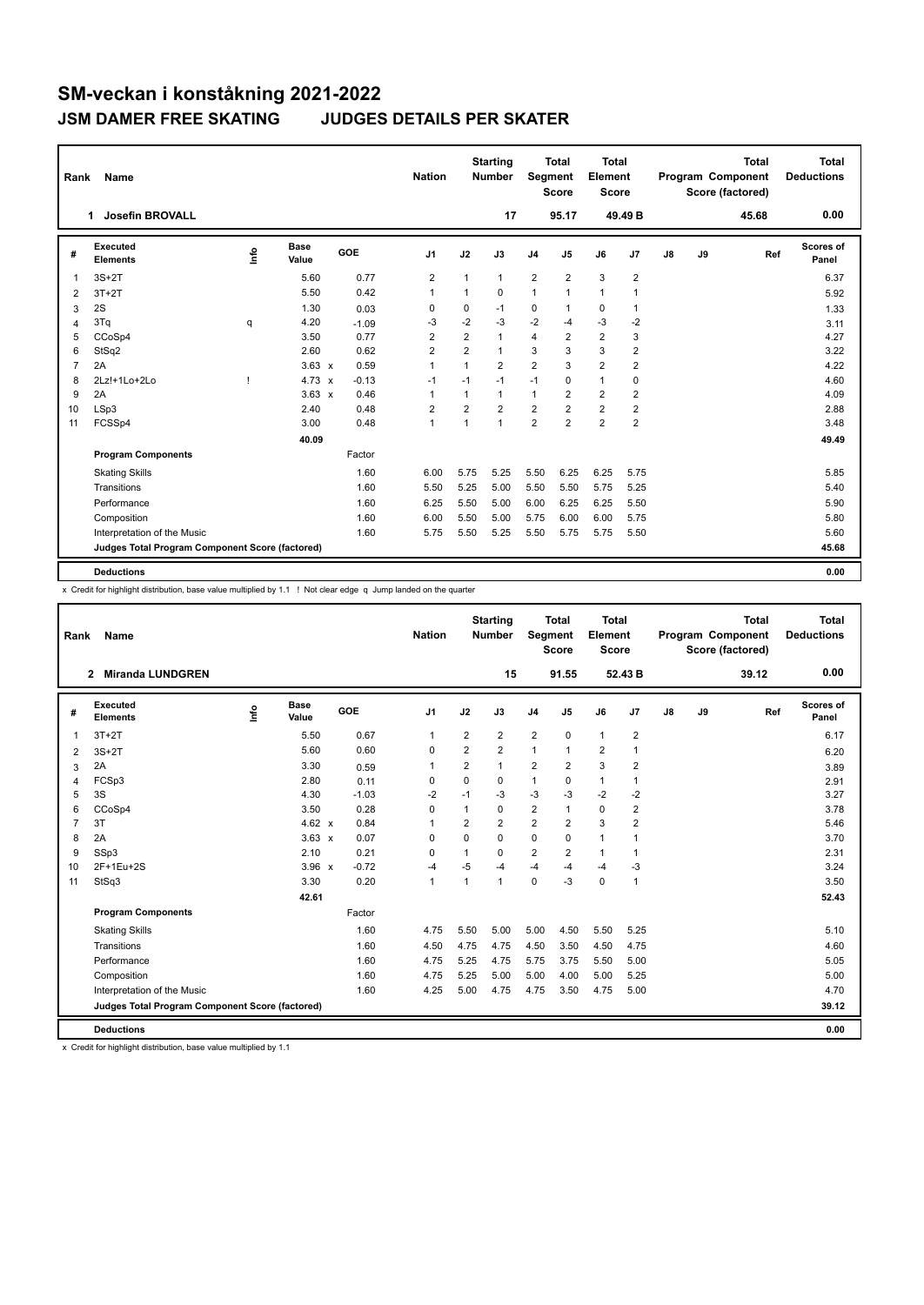| Rank           | Name                                            |      |                      |         | <b>Nation</b>  |                | <b>Starting</b><br><b>Number</b> | <b>Segment</b> | <b>Total</b><br><b>Score</b> | <b>Total</b><br>Element<br><b>Score</b> |                |    |    | <b>Total</b><br>Program Component<br>Score (factored) | Total<br><b>Deductions</b> |
|----------------|-------------------------------------------------|------|----------------------|---------|----------------|----------------|----------------------------------|----------------|------------------------------|-----------------------------------------|----------------|----|----|-------------------------------------------------------|----------------------------|
|                | Josefin BROVALL<br>1                            |      |                      |         |                |                | 17                               |                | 95.17                        |                                         | 49.49 B        |    |    | 45.68                                                 | 0.00                       |
| #              | Executed<br><b>Elements</b>                     | ١rfo | <b>Base</b><br>Value | GOE     | J <sub>1</sub> | J2             | J3                               | J <sub>4</sub> | J <sub>5</sub>               | J6                                      | J <sub>7</sub> | J8 | J9 | Ref                                                   | Scores of<br>Panel         |
| 1              | $3S+2T$                                         |      | 5.60                 | 0.77    | $\overline{2}$ | 1              | $\mathbf{1}$                     | $\overline{2}$ | $\overline{2}$               | 3                                       | $\overline{2}$ |    |    |                                                       | 6.37                       |
| 2              | $3T+2T$                                         |      | 5.50                 | 0.42    | 1              | 1              | 0                                | 1              | 1                            | $\mathbf{1}$                            | $\overline{1}$ |    |    |                                                       | 5.92                       |
| 3              | 2S                                              |      | 1.30                 | 0.03    | 0              | $\mathbf 0$    | $-1$                             | 0              | 1                            | $\mathbf 0$                             | 1              |    |    |                                                       | 1.33                       |
| 4              | 3Tq                                             | q    | 4.20                 | $-1.09$ | -3             | $-2$           | $-3$                             | $-2$           | -4                           | $-3$                                    | $-2$           |    |    |                                                       | 3.11                       |
| 5              | CCoSp4                                          |      | 3.50                 | 0.77    | $\overline{2}$ | $\overline{2}$ | $\mathbf{1}$                     | 4              | 2                            | $\overline{2}$                          | 3              |    |    |                                                       | 4.27                       |
| 6              | StSq2                                           |      | 2.60                 | 0.62    | $\overline{2}$ | $\overline{2}$ | $\mathbf{1}$                     | 3              | 3                            | 3                                       | $\overline{2}$ |    |    |                                                       | 3.22                       |
| $\overline{7}$ | 2A                                              |      | $3.63 \times$        | 0.59    | $\mathbf{1}$   | $\mathbf{1}$   | $\overline{2}$                   | $\overline{2}$ | 3                            | $\overline{2}$                          | $\overline{2}$ |    |    |                                                       | 4.22                       |
| 8              | 2Lz!+1Lo+2Lo                                    |      | $4.73 \times$        | $-0.13$ | -1             | $-1$           | $-1$                             | $-1$           | $\Omega$                     | $\mathbf{1}$                            | 0              |    |    |                                                       | 4.60                       |
| 9              | 2A                                              |      | $3.63 \times$        | 0.46    | $\overline{1}$ | 1              | $\mathbf{1}$                     | $\mathbf{1}$   | 2                            | $\overline{2}$                          | 2              |    |    |                                                       | 4.09                       |
| 10             | LSp3                                            |      | 2.40                 | 0.48    | $\overline{2}$ | $\overline{2}$ | $\overline{2}$                   | $\overline{2}$ | $\overline{2}$               | $\overline{2}$                          | $\overline{2}$ |    |    |                                                       | 2.88                       |
| 11             | FCSSp4                                          |      | 3.00                 | 0.48    | $\overline{1}$ | 1              | $\overline{1}$                   | $\overline{2}$ | $\overline{2}$               | $\overline{2}$                          | $\overline{2}$ |    |    |                                                       | 3.48                       |
|                |                                                 |      | 40.09                |         |                |                |                                  |                |                              |                                         |                |    |    |                                                       | 49.49                      |
|                | <b>Program Components</b>                       |      |                      | Factor  |                |                |                                  |                |                              |                                         |                |    |    |                                                       |                            |
|                | <b>Skating Skills</b>                           |      |                      | 1.60    | 6.00           | 5.75           | 5.25                             | 5.50           | 6.25                         | 6.25                                    | 5.75           |    |    |                                                       | 5.85                       |
|                | Transitions                                     |      |                      | 1.60    | 5.50           | 5.25           | 5.00                             | 5.50           | 5.50                         | 5.75                                    | 5.25           |    |    |                                                       | 5.40                       |
|                | Performance                                     |      |                      | 1.60    | 6.25           | 5.50           | 5.00                             | 6.00           | 6.25                         | 6.25                                    | 5.50           |    |    |                                                       | 5.90                       |
|                | Composition                                     |      |                      | 1.60    | 6.00           | 5.50           | 5.00                             | 5.75           | 6.00                         | 6.00                                    | 5.75           |    |    |                                                       | 5.80                       |
|                | Interpretation of the Music                     |      |                      | 1.60    | 5.75           | 5.50           | 5.25                             | 5.50           | 5.75                         | 5.75                                    | 5.50           |    |    |                                                       | 5.60                       |
|                | Judges Total Program Component Score (factored) |      |                      |         |                |                |                                  |                |                              |                                         |                |    |    |                                                       | 45.68                      |
|                | <b>Deductions</b>                               |      |                      |         |                |                |                                  |                |                              |                                         |                |    |    |                                                       | 0.00                       |

x Credit for highlight distribution, base value multiplied by 1.1 ! Not clear edge q Jump landed on the quarter

| Rank           | <b>Name</b>                                     |    |                      |         | <b>Nation</b>  |                | <b>Starting</b><br><b>Number</b> | Segment                 | <b>Total</b><br><b>Score</b> | Total<br>Element<br><b>Score</b> |                |    |    | <b>Total</b><br>Program Component<br>Score (factored) | Total<br><b>Deductions</b> |
|----------------|-------------------------------------------------|----|----------------------|---------|----------------|----------------|----------------------------------|-------------------------|------------------------------|----------------------------------|----------------|----|----|-------------------------------------------------------|----------------------------|
|                | <b>Miranda LUNDGREN</b><br>2                    |    |                      |         |                |                | 15                               |                         | 91.55                        |                                  | 52.43 B        |    |    | 39.12                                                 | 0.00                       |
| #              | Executed<br><b>Elements</b>                     | ۴٥ | <b>Base</b><br>Value | GOE     | J <sub>1</sub> | J2             | J3                               | J <sub>4</sub>          | J <sub>5</sub>               | J6                               | J7             | J8 | J9 | Ref                                                   | Scores of<br>Panel         |
| $\mathbf{1}$   | $3T+2T$                                         |    | 5.50                 | 0.67    | 1              | 2              | $\overline{2}$                   | $\overline{2}$          | $\mathbf 0$                  | $\mathbf{1}$                     | $\overline{2}$ |    |    |                                                       | 6.17                       |
| 2              | $3S+2T$                                         |    | 5.60                 | 0.60    | $\Omega$       | $\overline{2}$ | $\overline{2}$                   | $\mathbf{1}$            | $\overline{1}$               | $\overline{2}$                   | $\mathbf{1}$   |    |    |                                                       | 6.20                       |
| 3              | 2A                                              |    | 3.30                 | 0.59    | 1              | $\overline{2}$ | 1                                | $\overline{2}$          | $\overline{2}$               | 3                                | $\overline{2}$ |    |    |                                                       | 3.89                       |
| 4              | FCSp3                                           |    | 2.80                 | 0.11    | 0              | $\mathbf 0$    | 0                                | $\mathbf{1}$            | 0                            | $\mathbf{1}$                     | $\mathbf{1}$   |    |    |                                                       | 2.91                       |
| 5              | 3S                                              |    | 4.30                 | $-1.03$ | $-2$           | $-1$           | $-3$                             | $-3$                    | $-3$                         | $-2$                             | $-2$           |    |    |                                                       | 3.27                       |
| 6              | CCoSp4                                          |    | 3.50                 | 0.28    | $\Omega$       | $\mathbf{1}$   | 0                                | $\overline{2}$          | 1                            | $\mathbf 0$                      | $\overline{2}$ |    |    |                                                       | 3.78                       |
| $\overline{7}$ | 3T                                              |    | 4.62 $\times$        | 0.84    | 1              | $\overline{2}$ | $\overline{2}$                   | $\overline{2}$          | $\overline{2}$               | 3                                | $\overline{2}$ |    |    |                                                       | 5.46                       |
| 8              | 2A                                              |    | $3.63 \times$        | 0.07    | $\Omega$       | $\Omega$       | $\Omega$                         | $\mathbf 0$             | $\Omega$                     | $\mathbf{1}$                     | $\overline{1}$ |    |    |                                                       | 3.70                       |
| 9              | SSp3                                            |    | 2.10                 | 0.21    | 0              |                | 0                                | $\overline{\mathbf{c}}$ | 2                            | $\mathbf{1}$                     | $\mathbf 1$    |    |    |                                                       | 2.31                       |
| 10             | 2F+1Eu+2S                                       |    | $3.96 \times$        | $-0.72$ | -4             | $-5$           | $-4$                             | $-4$                    | $-4$                         | $-4$                             | -3             |    |    |                                                       | 3.24                       |
| 11             | StSq3                                           |    | 3.30                 | 0.20    | $\mathbf{1}$   | $\overline{1}$ | $\mathbf{1}$                     | $\mathbf 0$             | $-3$                         | $\mathbf 0$                      | $\mathbf{1}$   |    |    |                                                       | 3.50                       |
|                |                                                 |    | 42.61                |         |                |                |                                  |                         |                              |                                  |                |    |    |                                                       | 52.43                      |
|                | <b>Program Components</b>                       |    |                      | Factor  |                |                |                                  |                         |                              |                                  |                |    |    |                                                       |                            |
|                | <b>Skating Skills</b>                           |    |                      | 1.60    | 4.75           | 5.50           | 5.00                             | 5.00                    | 4.50                         | 5.50                             | 5.25           |    |    |                                                       | 5.10                       |
|                | Transitions                                     |    |                      | 1.60    | 4.50           | 4.75           | 4.75                             | 4.50                    | 3.50                         | 4.50                             | 4.75           |    |    |                                                       | 4.60                       |
|                | Performance                                     |    |                      | 1.60    | 4.75           | 5.25           | 4.75                             | 5.75                    | 3.75                         | 5.50                             | 5.00           |    |    |                                                       | 5.05                       |
|                | Composition                                     |    |                      | 1.60    | 4.75           | 5.25           | 5.00                             | 5.00                    | 4.00                         | 5.00                             | 5.25           |    |    |                                                       | 5.00                       |
|                | Interpretation of the Music                     |    |                      | 1.60    | 4.25           | 5.00           | 4.75                             | 4.75                    | 3.50                         | 4.75                             | 5.00           |    |    |                                                       | 4.70                       |
|                | Judges Total Program Component Score (factored) |    |                      |         |                |                |                                  |                         |                              |                                  |                |    |    |                                                       | 39.12                      |
|                | <b>Deductions</b>                               |    |                      |         |                |                |                                  |                         |                              |                                  |                |    |    |                                                       | 0.00                       |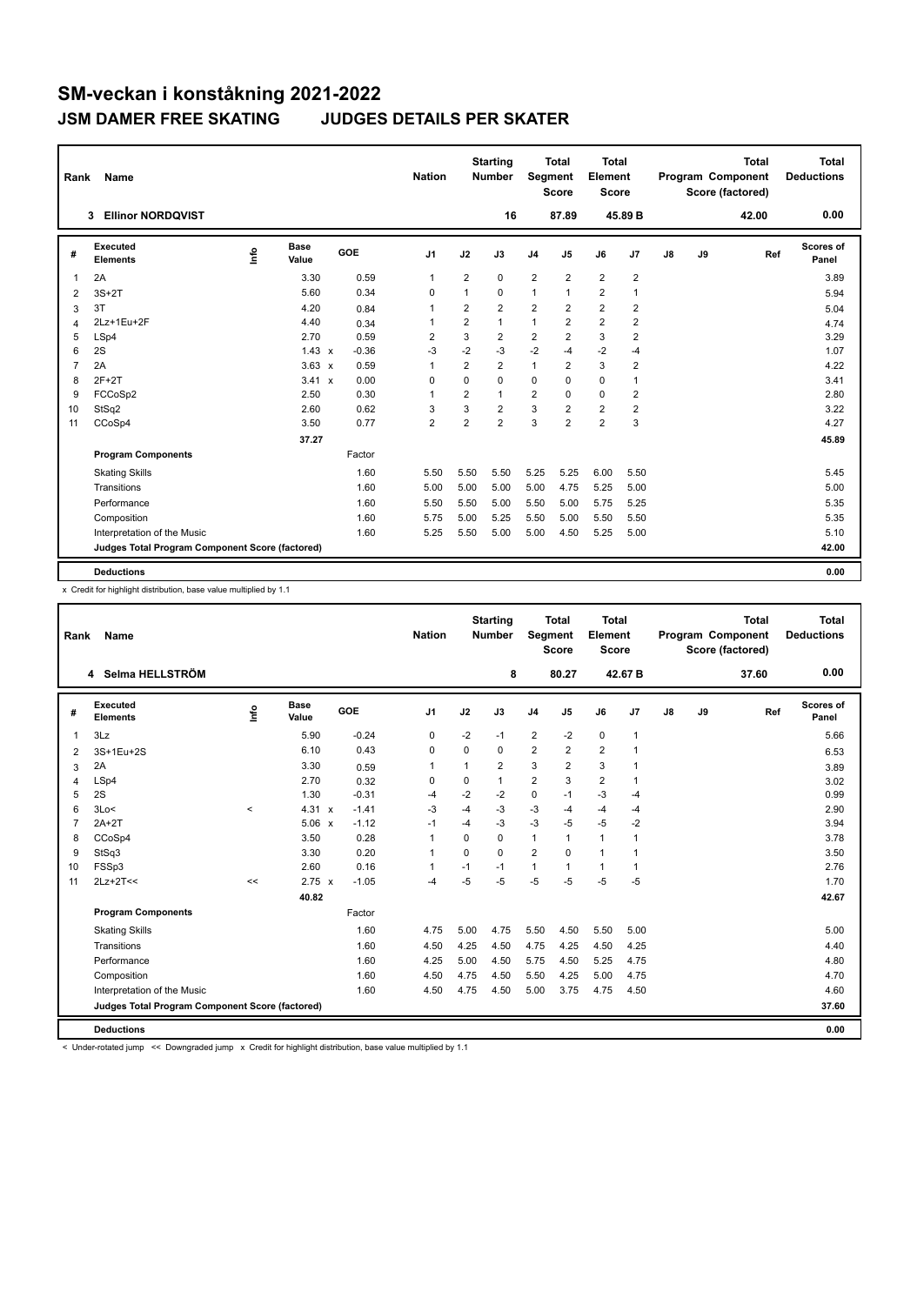| Rank           | <b>Name</b>                                     |      |                      |              |         | <b>Nation</b>  |                | <b>Starting</b><br>Number | Segment        | Total<br><b>Score</b> | Total<br>Element<br><b>Score</b> |                         |               |    | <b>Total</b><br>Program Component<br>Score (factored) | Total<br><b>Deductions</b> |
|----------------|-------------------------------------------------|------|----------------------|--------------|---------|----------------|----------------|---------------------------|----------------|-----------------------|----------------------------------|-------------------------|---------------|----|-------------------------------------------------------|----------------------------|
|                | <b>Ellinor NORDOVIST</b><br>3                   |      |                      |              |         |                |                | 16                        |                | 87.89                 |                                  | 45.89 B                 |               |    | 42.00                                                 | 0.00                       |
| #              | Executed<br><b>Elements</b>                     | ١rfo | <b>Base</b><br>Value |              | GOE     | J <sub>1</sub> | J2             | J3                        | J <sub>4</sub> | J5                    | J6                               | J7                      | $\mathsf{J}8$ | J9 | Ref                                                   | Scores of<br>Panel         |
| $\mathbf{1}$   | 2A                                              |      | 3.30                 |              | 0.59    | $\mathbf{1}$   | $\overline{2}$ | 0                         | $\overline{2}$ | $\overline{2}$        | $\overline{2}$                   | $\overline{2}$          |               |    |                                                       | 3.89                       |
| 2              | $3S+2T$                                         |      | 5.60                 |              | 0.34    | 0              | 1              | 0                         | $\mathbf{1}$   | $\mathbf{1}$          | $\overline{2}$                   | $\mathbf{1}$            |               |    |                                                       | 5.94                       |
| 3              | 3T                                              |      | 4.20                 |              | 0.84    | $\mathbf{1}$   | $\overline{2}$ | $\overline{2}$            | $\overline{2}$ | $\overline{2}$        | $\overline{2}$                   | $\overline{2}$          |               |    |                                                       | 5.04                       |
| 4              | 2Lz+1Eu+2F                                      |      | 4.40                 |              | 0.34    | -1             | $\overline{2}$ | 1                         | $\mathbf{1}$   | $\overline{2}$        | $\overline{2}$                   | $\overline{2}$          |               |    |                                                       | 4.74                       |
| 5              | LSp4                                            |      | 2.70                 |              | 0.59    | 2              | 3              | $\overline{2}$            | $\overline{2}$ | $\overline{2}$        | 3                                | $\overline{2}$          |               |    |                                                       | 3.29                       |
| 6              | 2S                                              |      | $1.43 \times$        |              | $-0.36$ | $-3$           | $-2$           | $-3$                      | $-2$           | $-4$                  | $-2$                             | $-4$                    |               |    |                                                       | 1.07                       |
| $\overline{7}$ | 2A                                              |      | $3.63 \times$        |              | 0.59    | $\mathbf{1}$   | $\overline{2}$ | $\overline{2}$            | $\mathbf{1}$   | $\overline{2}$        | 3                                | $\overline{2}$          |               |    |                                                       | 4.22                       |
| 8              | $2F+2T$                                         |      | 3.41                 | $\mathbf{x}$ | 0.00    | 0              | 0              | 0                         | $\mathbf 0$    | 0                     | 0                                | $\mathbf{1}$            |               |    |                                                       | 3.41                       |
| 9              | FCCoSp2                                         |      | 2.50                 |              | 0.30    | $\overline{1}$ | $\overline{2}$ | 1                         | $\overline{2}$ | $\Omega$              | 0                                | $\overline{\mathbf{c}}$ |               |    |                                                       | 2.80                       |
| 10             | StSq2                                           |      | 2.60                 |              | 0.62    | 3              | 3              | 2                         | 3              | 2                     | 2                                | 2                       |               |    |                                                       | 3.22                       |
| 11             | CCoSp4                                          |      | 3.50                 |              | 0.77    | $\overline{2}$ | $\overline{2}$ | $\overline{2}$            | 3              | $\overline{2}$        | $\overline{2}$                   | 3                       |               |    |                                                       | 4.27                       |
|                |                                                 |      | 37.27                |              |         |                |                |                           |                |                       |                                  |                         |               |    |                                                       | 45.89                      |
|                | <b>Program Components</b>                       |      |                      |              | Factor  |                |                |                           |                |                       |                                  |                         |               |    |                                                       |                            |
|                | <b>Skating Skills</b>                           |      |                      |              | 1.60    | 5.50           | 5.50           | 5.50                      | 5.25           | 5.25                  | 6.00                             | 5.50                    |               |    |                                                       | 5.45                       |
|                | Transitions                                     |      |                      |              | 1.60    | 5.00           | 5.00           | 5.00                      | 5.00           | 4.75                  | 5.25                             | 5.00                    |               |    |                                                       | 5.00                       |
|                | Performance                                     |      |                      |              | 1.60    | 5.50           | 5.50           | 5.00                      | 5.50           | 5.00                  | 5.75                             | 5.25                    |               |    |                                                       | 5.35                       |
|                | Composition                                     |      |                      |              | 1.60    | 5.75           | 5.00           | 5.25                      | 5.50           | 5.00                  | 5.50                             | 5.50                    |               |    |                                                       | 5.35                       |
|                | Interpretation of the Music                     |      |                      |              | 1.60    | 5.25           | 5.50           | 5.00                      | 5.00           | 4.50                  | 5.25                             | 5.00                    |               |    |                                                       | 5.10                       |
|                | Judges Total Program Component Score (factored) |      |                      |              |         |                |                |                           |                |                       |                                  |                         |               |    |                                                       | 42.00                      |
|                | <b>Deductions</b>                               |      |                      |              |         |                |                |                           |                |                       |                                  |                         |               |    |                                                       | 0.00                       |

x Credit for highlight distribution, base value multiplied by 1.1

| Rank           | Name                                            |         |                      |                         | <b>Nation</b>  |              | <b>Starting</b><br><b>Number</b> | Segment        | <b>Total</b><br><b>Score</b> | Total<br>Element<br><b>Score</b> |              |    |    | <b>Total</b><br>Program Component<br>Score (factored) | <b>Total</b><br><b>Deductions</b> |
|----------------|-------------------------------------------------|---------|----------------------|-------------------------|----------------|--------------|----------------------------------|----------------|------------------------------|----------------------------------|--------------|----|----|-------------------------------------------------------|-----------------------------------|
|                | 4 Selma HELLSTRÖM                               |         |                      |                         |                |              | 8                                |                | 80.27                        |                                  | 42.67 B      |    |    | 37.60                                                 | 0.00                              |
| #              | Executed<br><b>Elements</b>                     | ۴٥      | <b>Base</b><br>Value | GOE                     | J <sub>1</sub> | J2           | J3                               | J <sub>4</sub> | J5                           | J6                               | J7           | J8 | J9 | Ref                                                   | Scores of<br>Panel                |
| 1              | 3Lz                                             |         | 5.90                 | $-0.24$                 | 0              | $-2$         | $-1$                             | $\overline{2}$ | $-2$                         | $\mathbf 0$                      | $\mathbf{1}$ |    |    |                                                       | 5.66                              |
| 2              | 3S+1Eu+2S                                       |         | 6.10                 | 0.43                    | 0              | 0            | 0                                | $\overline{2}$ | $\overline{2}$               | $\overline{2}$                   | 1            |    |    |                                                       | 6.53                              |
| 3              | 2A                                              |         | 3.30                 | 0.59                    | 1              | $\mathbf{1}$ | $\overline{2}$                   | 3              | $\overline{2}$               | 3                                | 1            |    |    |                                                       | 3.89                              |
| 4              | LSp4                                            |         | 2.70                 | 0.32                    | $\mathbf 0$    | 0            | 1                                | $\overline{2}$ | 3                            | $\overline{2}$                   | 1            |    |    |                                                       | 3.02                              |
| 5              | 2S                                              |         | 1.30                 | $-0.31$                 | $-4$           | $-2$         | $-2$                             | 0              | $-1$                         | $-3$                             | $-4$         |    |    |                                                       | 0.99                              |
| 6              | 3Lo<                                            | $\prec$ | 4.31 $\times$        | $-1.41$                 | $-3$           | $-4$         | $-3$                             | -3             | $-4$                         | $-4$                             | $-4$         |    |    |                                                       | 2.90                              |
| $\overline{7}$ | $2A+2T$                                         |         | 5.06                 | $-1.12$<br>$\mathbf{x}$ | $-1$           | $-4$         | $-3$                             | $-3$           | $-5$                         | $-5$                             | $-2$         |    |    |                                                       | 3.94                              |
| 8              | CCoSp4                                          |         | 3.50                 | 0.28                    | 1              | $\Omega$     | 0                                | $\mathbf{1}$   | 1                            | $\mathbf{1}$                     | 1            |    |    |                                                       | 3.78                              |
| 9              | StSq3                                           |         | 3.30                 | 0.20                    | 1              | $\Omega$     | 0                                | $\overline{2}$ | $\Omega$                     | $\mathbf{1}$                     | 1            |    |    |                                                       | 3.50                              |
| 10             | FSSp3                                           |         | 2.60                 | 0.16                    | 1              | $-1$         | $-1$                             | 1              | 1                            | $\mathbf{1}$                     | 1            |    |    |                                                       | 2.76                              |
| 11             | $2Lz+2T<<$                                      | <<      | $2.75 \times$        | $-1.05$                 | $-4$           | $-5$         | $-5$                             | $-5$           | $-5$                         | $-5$                             | $-5$         |    |    |                                                       | 1.70                              |
|                |                                                 |         | 40.82                |                         |                |              |                                  |                |                              |                                  |              |    |    |                                                       | 42.67                             |
|                | <b>Program Components</b>                       |         |                      | Factor                  |                |              |                                  |                |                              |                                  |              |    |    |                                                       |                                   |
|                | <b>Skating Skills</b>                           |         |                      | 1.60                    | 4.75           | 5.00         | 4.75                             | 5.50           | 4.50                         | 5.50                             | 5.00         |    |    |                                                       | 5.00                              |
|                | Transitions                                     |         |                      | 1.60                    | 4.50           | 4.25         | 4.50                             | 4.75           | 4.25                         | 4.50                             | 4.25         |    |    |                                                       | 4.40                              |
|                | Performance                                     |         |                      | 1.60                    | 4.25           | 5.00         | 4.50                             | 5.75           | 4.50                         | 5.25                             | 4.75         |    |    |                                                       | 4.80                              |
|                | Composition                                     |         |                      | 1.60                    | 4.50           | 4.75         | 4.50                             | 5.50           | 4.25                         | 5.00                             | 4.75         |    |    |                                                       | 4.70                              |
|                | Interpretation of the Music                     |         |                      | 1.60                    | 4.50           | 4.75         | 4.50                             | 5.00           | 3.75                         | 4.75                             | 4.50         |    |    |                                                       | 4.60                              |
|                | Judges Total Program Component Score (factored) |         |                      |                         |                |              |                                  |                |                              |                                  |              |    |    |                                                       | 37.60                             |
|                | <b>Deductions</b>                               |         |                      |                         |                |              |                                  |                |                              |                                  |              |    |    |                                                       | 0.00                              |

< Under-rotated jump << Downgraded jump x Credit for highlight distribution, base value multiplied by 1.1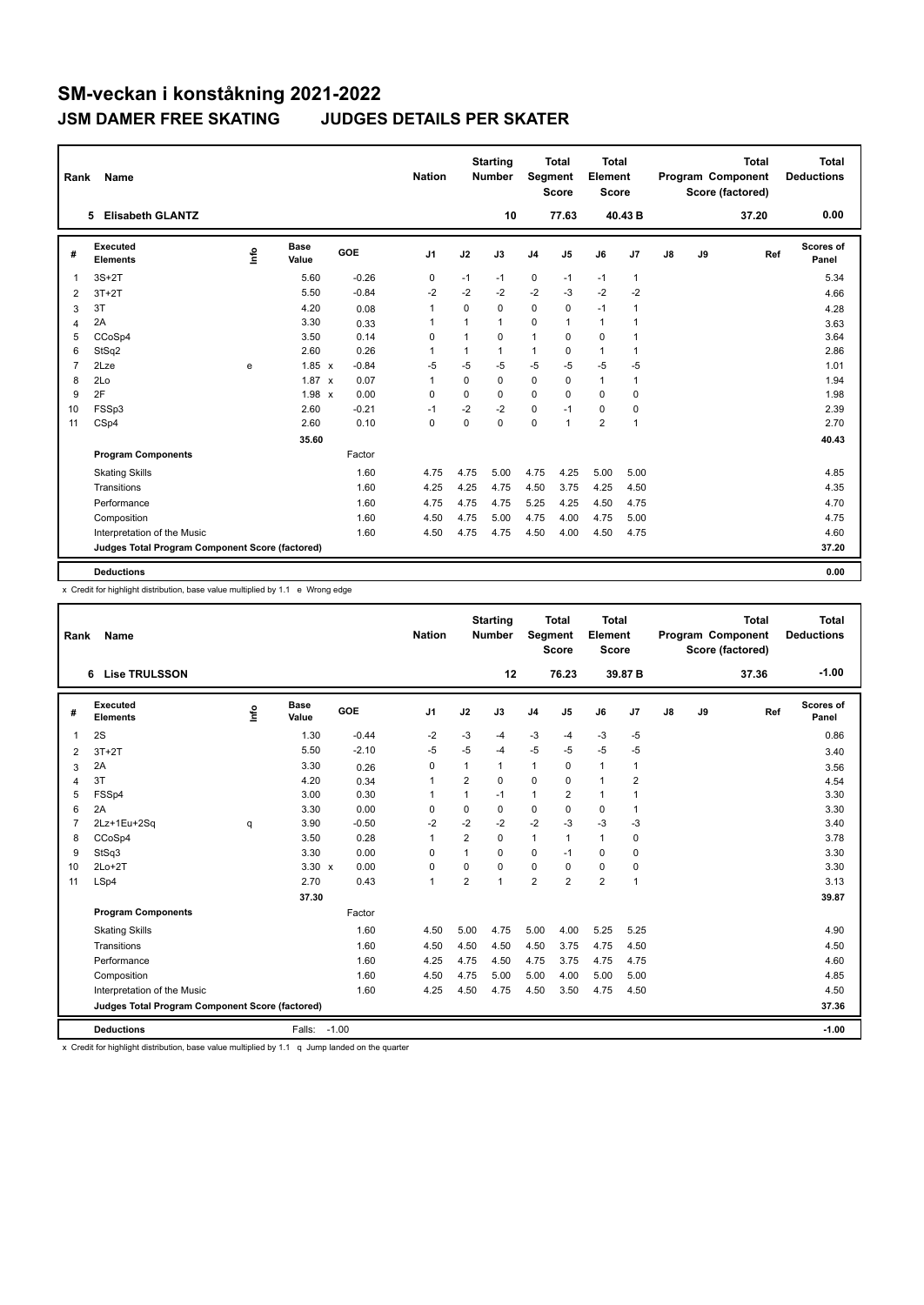| Rank           | Name                                            |      |                      |         | <b>Nation</b>  |              | <b>Starting</b><br><b>Number</b> | Segment        | Total<br><b>Score</b> | <b>Total</b><br>Element<br><b>Score</b> |                |    |    | <b>Total</b><br>Program Component<br>Score (factored) | Total<br><b>Deductions</b> |
|----------------|-------------------------------------------------|------|----------------------|---------|----------------|--------------|----------------------------------|----------------|-----------------------|-----------------------------------------|----------------|----|----|-------------------------------------------------------|----------------------------|
|                | <b>Elisabeth GLANTZ</b><br>5                    |      |                      |         |                |              | 10                               |                | 77.63                 |                                         | 40.43 B        |    |    | 37.20                                                 | 0.00                       |
| #              | Executed<br><b>Elements</b>                     | ١rfo | <b>Base</b><br>Value | GOE     | J <sub>1</sub> | J2           | J3                               | J <sub>4</sub> | J5                    | J6                                      | J7             | J8 | J9 | Ref                                                   | Scores of<br>Panel         |
| 1              | $3S+2T$                                         |      | 5.60                 | $-0.26$ | 0              | $-1$         | $-1$                             | $\mathbf 0$    | $-1$                  | $-1$                                    | $\mathbf{1}$   |    |    |                                                       | 5.34                       |
| 2              | $3T+2T$                                         |      | 5.50                 | $-0.84$ | $-2$           | $-2$         | $-2$                             | $-2$           | $-3$                  | $-2$                                    | $-2$           |    |    |                                                       | 4.66                       |
| 3              | 3T                                              |      | 4.20                 | 0.08    | $\mathbf{1}$   | 0            | 0                                | 0              | $\Omega$              | $-1$                                    | $\mathbf{1}$   |    |    |                                                       | 4.28                       |
| 4              | 2A                                              |      | 3.30                 | 0.33    | 1              | $\mathbf{1}$ | $\mathbf{1}$                     | $\Omega$       | $\mathbf{1}$          | $\mathbf{1}$                            | 1              |    |    |                                                       | 3.63                       |
| 5              | CCoSp4                                          |      | 3.50                 | 0.14    | 0              | 1            | $\Omega$                         | $\mathbf{1}$   | $\Omega$              | $\Omega$                                | 1              |    |    |                                                       | 3.64                       |
| 6              | StSq2                                           |      | 2.60                 | 0.26    | 1              | 1            | $\mathbf{1}$                     | $\mathbf{1}$   | $\Omega$              | $\mathbf{1}$                            | $\overline{1}$ |    |    |                                                       | 2.86                       |
| $\overline{7}$ | 2Lze                                            | e    | $1.85 \times$        | $-0.84$ | -5             | $-5$         | $-5$                             | $-5$           | $-5$                  | $-5$                                    | $-5$           |    |    |                                                       | 1.01                       |
| 8              | 2Lo                                             |      | 1.87<br>$\mathsf{x}$ | 0.07    | $\overline{1}$ | $\Omega$     | 0                                | $\mathbf 0$    | 0                     | $\mathbf{1}$                            | $\overline{1}$ |    |    |                                                       | 1.94                       |
| 9              | 2F                                              |      | 1.98 x               | 0.00    | $\Omega$       | $\Omega$     | $\Omega$                         | 0              | $\Omega$              | $\Omega$                                | 0              |    |    |                                                       | 1.98                       |
| 10             | FSSp3                                           |      | 2.60                 | $-0.21$ | $-1$           | $-2$         | $-2$                             | 0              | $-1$                  | 0                                       | 0              |    |    |                                                       | 2.39                       |
| 11             | CSp4                                            |      | 2.60                 | 0.10    | $\mathbf 0$    | 0            | $\Omega$                         | $\Omega$       | $\mathbf{1}$          | $\overline{2}$                          | $\overline{1}$ |    |    |                                                       | 2.70                       |
|                |                                                 |      | 35.60                |         |                |              |                                  |                |                       |                                         |                |    |    |                                                       | 40.43                      |
|                | <b>Program Components</b>                       |      |                      | Factor  |                |              |                                  |                |                       |                                         |                |    |    |                                                       |                            |
|                | <b>Skating Skills</b>                           |      |                      | 1.60    | 4.75           | 4.75         | 5.00                             | 4.75           | 4.25                  | 5.00                                    | 5.00           |    |    |                                                       | 4.85                       |
|                | Transitions                                     |      |                      | 1.60    | 4.25           | 4.25         | 4.75                             | 4.50           | 3.75                  | 4.25                                    | 4.50           |    |    |                                                       | 4.35                       |
|                | Performance                                     |      |                      | 1.60    | 4.75           | 4.75         | 4.75                             | 5.25           | 4.25                  | 4.50                                    | 4.75           |    |    |                                                       | 4.70                       |
|                | Composition                                     |      |                      | 1.60    | 4.50           | 4.75         | 5.00                             | 4.75           | 4.00                  | 4.75                                    | 5.00           |    |    |                                                       | 4.75                       |
|                | Interpretation of the Music                     |      |                      | 1.60    | 4.50           | 4.75         | 4.75                             | 4.50           | 4.00                  | 4.50                                    | 4.75           |    |    |                                                       | 4.60                       |
|                | Judges Total Program Component Score (factored) |      |                      |         |                |              |                                  |                |                       |                                         |                |    |    |                                                       | 37.20                      |
|                | <b>Deductions</b>                               |      |                      |         |                |              |                                  |                |                       |                                         |                |    |    |                                                       | 0.00                       |

x Credit for highlight distribution, base value multiplied by 1.1 e Wrong edge

| Rank           | Name                                            |      |                      |            | <b>Nation</b>  |                | <b>Starting</b><br><b>Number</b> | Segment        | Total<br><b>Score</b> | Total<br>Element<br><b>Score</b> |                |               |    | <b>Total</b><br>Program Component<br>Score (factored) | <b>Total</b><br><b>Deductions</b> |
|----------------|-------------------------------------------------|------|----------------------|------------|----------------|----------------|----------------------------------|----------------|-----------------------|----------------------------------|----------------|---------------|----|-------------------------------------------------------|-----------------------------------|
|                | <b>Lise TRULSSON</b><br>6.                      |      |                      |            |                |                | 12                               |                | 76.23                 |                                  | 39.87 B        |               |    | 37.36                                                 | $-1.00$                           |
| #              | Executed<br><b>Elements</b>                     | lnfo | <b>Base</b><br>Value | <b>GOE</b> | J <sub>1</sub> | J2             | J3                               | J <sub>4</sub> | J5                    | J6                               | J7             | $\mathsf{J}8$ | J9 | Ref                                                   | Scores of<br>Panel                |
| 1              | 2S                                              |      | 1.30                 | $-0.44$    | $-2$           | $-3$           | $-4$                             | $-3$           | $-4$                  | $-3$                             | $-5$           |               |    |                                                       | 0.86                              |
| $\overline{2}$ | $3T+2T$                                         |      | 5.50                 | $-2.10$    | $-5$           | $-5$           | $-4$                             | $-5$           | $-5$                  | $-5$                             | $-5$           |               |    |                                                       | 3.40                              |
| 3              | 2A                                              |      | 3.30                 | 0.26       | 0              | 1              | 1                                | $\mathbf{1}$   | 0                     | 1                                | $\mathbf{1}$   |               |    |                                                       | 3.56                              |
| 4              | 3T                                              |      | 4.20                 | 0.34       | $\mathbf 1$    | $\overline{2}$ | 0                                | 0              | $\Omega$              | $\mathbf{1}$                     | $\overline{2}$ |               |    |                                                       | 4.54                              |
| 5              | FSSp4                                           |      | 3.00                 | 0.30       | 1              | $\mathbf{1}$   | $-1$                             | $\mathbf{1}$   | 2                     | $\mathbf{1}$                     | $\mathbf{1}$   |               |    |                                                       | 3.30                              |
| 6              | 2A                                              |      | 3.30                 | 0.00       | $\mathbf 0$    | $\Omega$       | 0                                | 0              | $\Omega$              | 0                                | $\mathbf{1}$   |               |    |                                                       | 3.30                              |
| $\overline{7}$ | 2Lz+1Eu+2Sq                                     | q    | 3.90                 | $-0.50$    | $-2$           | $-2$           | $-2$                             | $-2$           | $-3$                  | $-3$                             | -3             |               |    |                                                       | 3.40                              |
| 8              | CCoSp4                                          |      | 3.50                 | 0.28       | $\mathbf{1}$   | $\overline{2}$ | $\Omega$                         | $\mathbf{1}$   | 1                     | $\mathbf{1}$                     | $\mathbf 0$    |               |    |                                                       | 3.78                              |
| 9              | StSq3                                           |      | 3.30                 | 0.00       | $\mathbf 0$    | $\mathbf{1}$   | 0                                | 0              | $-1$                  | 0                                | $\mathbf 0$    |               |    |                                                       | 3.30                              |
| 10             | $2Lo+2T$                                        |      | $3.30 \times$        | 0.00       | $\mathbf 0$    | $\Omega$       | 0                                | $\mathbf 0$    | $\Omega$              | 0                                | $\mathbf 0$    |               |    |                                                       | 3.30                              |
| 11             | LSp4                                            |      | 2.70                 | 0.43       | $\mathbf{1}$   | $\overline{2}$ | $\mathbf{1}$                     | $\overline{2}$ | $\overline{2}$        | $\overline{2}$                   | $\mathbf{1}$   |               |    |                                                       | 3.13                              |
|                |                                                 |      | 37.30                |            |                |                |                                  |                |                       |                                  |                |               |    |                                                       | 39.87                             |
|                | <b>Program Components</b>                       |      |                      | Factor     |                |                |                                  |                |                       |                                  |                |               |    |                                                       |                                   |
|                | <b>Skating Skills</b>                           |      |                      | 1.60       | 4.50           | 5.00           | 4.75                             | 5.00           | 4.00                  | 5.25                             | 5.25           |               |    |                                                       | 4.90                              |
|                | Transitions                                     |      |                      | 1.60       | 4.50           | 4.50           | 4.50                             | 4.50           | 3.75                  | 4.75                             | 4.50           |               |    |                                                       | 4.50                              |
|                | Performance                                     |      |                      | 1.60       | 4.25           | 4.75           | 4.50                             | 4.75           | 3.75                  | 4.75                             | 4.75           |               |    |                                                       | 4.60                              |
|                | Composition                                     |      |                      | 1.60       | 4.50           | 4.75           | 5.00                             | 5.00           | 4.00                  | 5.00                             | 5.00           |               |    |                                                       | 4.85                              |
|                | Interpretation of the Music                     |      |                      | 1.60       | 4.25           | 4.50           | 4.75                             | 4.50           | 3.50                  | 4.75                             | 4.50           |               |    |                                                       | 4.50                              |
|                | Judges Total Program Component Score (factored) |      |                      |            |                |                |                                  |                |                       |                                  |                |               |    |                                                       | 37.36                             |
|                | <b>Deductions</b>                               |      | Falls:               | $-1.00$    |                |                |                                  |                |                       |                                  |                |               |    |                                                       | $-1.00$                           |

x Credit for highlight distribution, base value multiplied by 1.1 q Jump landed on the quarter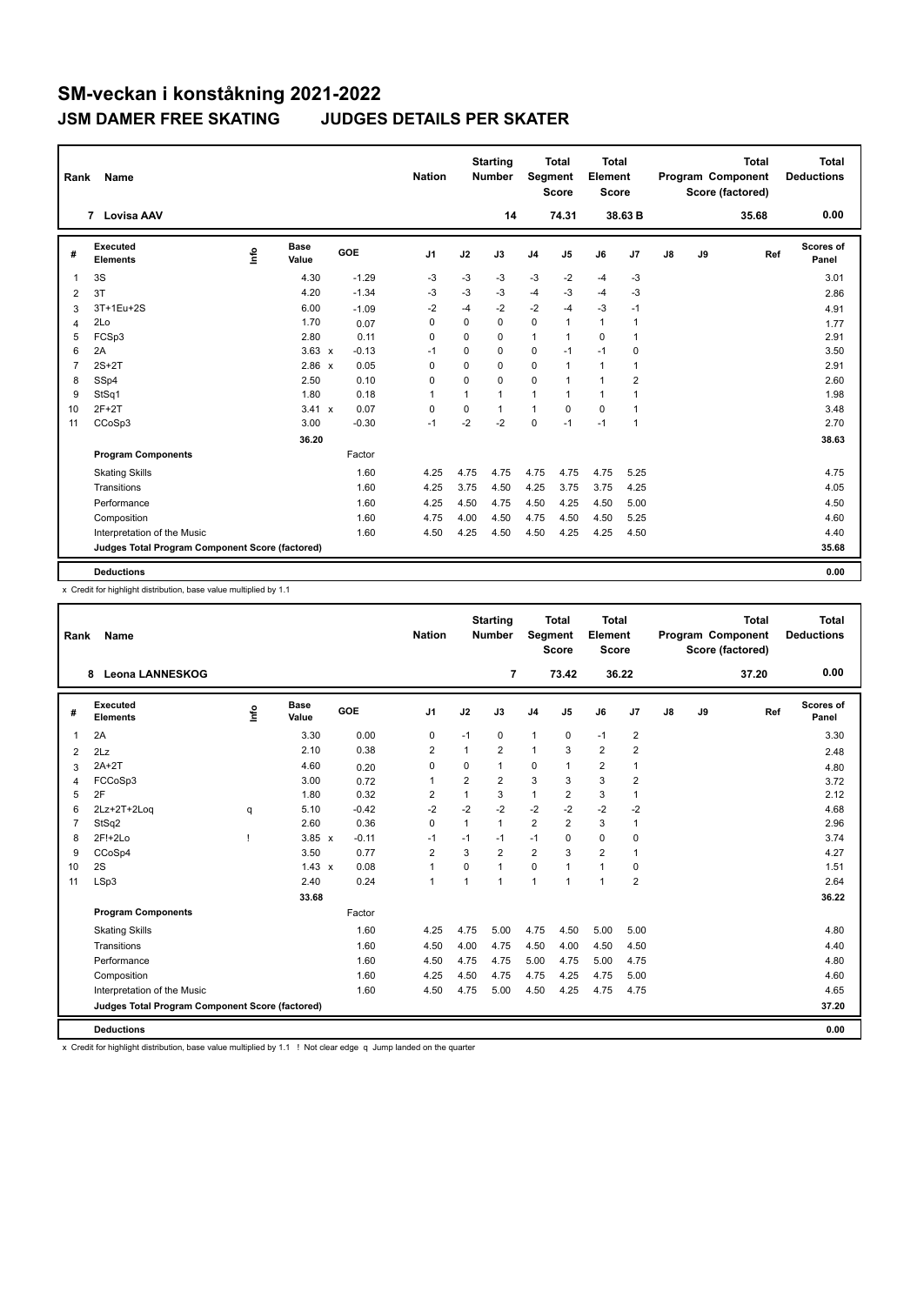| Rank           | <b>Name</b>                                     |      |                      |         | <b>Nation</b>  |          | <b>Starting</b><br><b>Number</b> | Segment        | <b>Total</b><br><b>Score</b> | <b>Total</b><br>Element<br><b>Score</b> |                |               |    | <b>Total</b><br><b>Program Component</b><br>Score (factored) | <b>Total</b><br><b>Deductions</b> |
|----------------|-------------------------------------------------|------|----------------------|---------|----------------|----------|----------------------------------|----------------|------------------------------|-----------------------------------------|----------------|---------------|----|--------------------------------------------------------------|-----------------------------------|
|                | 7 Lovisa AAV                                    |      |                      |         |                |          | 14                               |                | 74.31                        |                                         | 38.63 B        |               |    | 35.68                                                        | 0.00                              |
| #              | Executed<br><b>Elements</b>                     | lnfo | <b>Base</b><br>Value | GOE     | J <sub>1</sub> | J2       | J3                               | J <sub>4</sub> | J5                           | J6                                      | J7             | $\mathsf{J}8$ | J9 | Ref                                                          | Scores of<br>Panel                |
| $\overline{1}$ | 3S                                              |      | 4.30                 | $-1.29$ | -3             | $-3$     | -3                               | $-3$           | $-2$                         | $-4$                                    | $-3$           |               |    |                                                              | 3.01                              |
| 2              | 3T                                              |      | 4.20                 | $-1.34$ | -3             | $-3$     | $-3$                             | $-4$           | -3                           | $-4$                                    | $-3$           |               |    |                                                              | 2.86                              |
| 3              | 3T+1Eu+2S                                       |      | 6.00                 | $-1.09$ | -2             | $-4$     | $-2$                             | $-2$           | $-4$                         | $-3$                                    | $-1$           |               |    |                                                              | 4.91                              |
| 4              | 2Lo                                             |      | 1.70                 | 0.07    | $\Omega$       | $\Omega$ | $\Omega$                         | 0              | $\mathbf{1}$                 | $\mathbf{1}$                            | 1              |               |    |                                                              | 1.77                              |
| 5              | FCSp3                                           |      | 2.80                 | 0.11    | $\Omega$       | $\Omega$ | $\Omega$                         | 1              | 1                            | 0                                       | $\mathbf{1}$   |               |    |                                                              | 2.91                              |
| 6              | 2A                                              |      | $3.63 \times$        | $-0.13$ | $-1$           | $\Omega$ | $\Omega$                         | 0              | $-1$                         | $-1$                                    | 0              |               |    |                                                              | 3.50                              |
| $\overline{7}$ | $2S+2T$                                         |      | 2.86 x               | 0.05    | 0              | 0        | 0                                | 0              | 1                            | $\mathbf{1}$                            | $\mathbf{1}$   |               |    |                                                              | 2.91                              |
| 8              | SSp4                                            |      | 2.50                 | 0.10    | 0              | 0        | 0                                | 0              | 1                            | $\mathbf{1}$                            | 2              |               |    |                                                              | 2.60                              |
| 9              | StSq1                                           |      | 1.80                 | 0.18    | $\mathbf{1}$   | 1        | $\mathbf{1}$                     | $\mathbf{1}$   | 1                            | $\mathbf{1}$                            | $\mathbf{1}$   |               |    |                                                              | 1.98                              |
| 10             | $2F+2T$                                         |      | $3.41 \times$        | 0.07    | 0              | 0        | $\mathbf{1}$                     | $\mathbf{1}$   | 0                            | 0                                       | $\mathbf{1}$   |               |    |                                                              | 3.48                              |
| 11             | CCoSp3                                          |      | 3.00                 | $-0.30$ | $-1$           | $-2$     | $-2$                             | 0              | $-1$                         | $-1$                                    | $\overline{1}$ |               |    |                                                              | 2.70                              |
|                |                                                 |      | 36.20                |         |                |          |                                  |                |                              |                                         |                |               |    |                                                              | 38.63                             |
|                | <b>Program Components</b>                       |      |                      | Factor  |                |          |                                  |                |                              |                                         |                |               |    |                                                              |                                   |
|                | <b>Skating Skills</b>                           |      |                      | 1.60    | 4.25           | 4.75     | 4.75                             | 4.75           | 4.75                         | 4.75                                    | 5.25           |               |    |                                                              | 4.75                              |
|                | Transitions                                     |      |                      | 1.60    | 4.25           | 3.75     | 4.50                             | 4.25           | 3.75                         | 3.75                                    | 4.25           |               |    |                                                              | 4.05                              |
|                | Performance                                     |      |                      | 1.60    | 4.25           | 4.50     | 4.75                             | 4.50           | 4.25                         | 4.50                                    | 5.00           |               |    |                                                              | 4.50                              |
|                | Composition                                     |      |                      | 1.60    | 4.75           | 4.00     | 4.50                             | 4.75           | 4.50                         | 4.50                                    | 5.25           |               |    |                                                              | 4.60                              |
|                | Interpretation of the Music                     |      |                      | 1.60    | 4.50           | 4.25     | 4.50                             | 4.50           | 4.25                         | 4.25                                    | 4.50           |               |    |                                                              | 4.40                              |
|                | Judges Total Program Component Score (factored) |      |                      |         |                |          |                                  |                |                              |                                         |                |               |    |                                                              | 35.68                             |
|                | <b>Deductions</b>                               |      |                      |         |                |          |                                  |                |                              |                                         |                |               |    |                                                              | 0.00                              |

x Credit for highlight distribution, base value multiplied by 1.1

| Rank | Name                                            |            |                      |         | <b>Nation</b>  |                | <b>Starting</b><br><b>Number</b> | Segment        | <b>Total</b><br><b>Score</b> | <b>Total</b><br>Element<br><b>Score</b> |                |    |    | <b>Total</b><br>Program Component<br>Score (factored) | <b>Total</b><br><b>Deductions</b> |
|------|-------------------------------------------------|------------|----------------------|---------|----------------|----------------|----------------------------------|----------------|------------------------------|-----------------------------------------|----------------|----|----|-------------------------------------------------------|-----------------------------------|
|      | <b>Leona LANNESKOG</b><br>8                     |            |                      |         |                |                | $\overline{7}$                   |                | 73.42                        | 36.22                                   |                |    |    | 37.20                                                 | 0.00                              |
| #    | Executed<br><b>Elements</b>                     | <b>Lin</b> | <b>Base</b><br>Value | GOE     | J <sub>1</sub> | J2             | J3                               | J <sub>4</sub> | J5                           | J6                                      | J7             | J8 | J9 | Ref                                                   | <b>Scores of</b><br>Panel         |
| 1    | 2A                                              |            | 3.30                 | 0.00    | 0              | $-1$           | 0                                | $\mathbf{1}$   | $\mathbf 0$                  | $-1$                                    | $\overline{2}$ |    |    |                                                       | 3.30                              |
| 2    | 2Lz                                             |            | 2.10                 | 0.38    | 2              | 1              | $\overline{2}$                   | $\mathbf{1}$   | 3                            | $\overline{2}$                          | $\overline{2}$ |    |    |                                                       | 2.48                              |
| 3    | $2A+2T$                                         |            | 4.60                 | 0.20    | 0              | $\Omega$       | $\mathbf{1}$                     | $\mathbf 0$    | $\mathbf{1}$                 | 2                                       | $\overline{1}$ |    |    |                                                       | 4.80                              |
| 4    | FCCoSp3                                         |            | 3.00                 | 0.72    | $\mathbf{1}$   | $\overline{2}$ | $\overline{2}$                   | 3              | 3                            | 3                                       | $\overline{2}$ |    |    |                                                       | 3.72                              |
| 5    | 2F                                              |            | 1.80                 | 0.32    | $\overline{2}$ | $\overline{1}$ | 3                                | $\mathbf{1}$   | $\overline{\mathbf{c}}$      | 3                                       | 1              |    |    |                                                       | 2.12                              |
| 6    | 2Lz+2T+2Log                                     | q          | 5.10                 | $-0.42$ | $-2$           | $-2$           | $-2$                             | $-2$           | $-2$                         | $-2$                                    | $-2$           |    |    |                                                       | 4.68                              |
| 7    | StSq2                                           |            | 2.60                 | 0.36    | $\mathbf 0$    | $\mathbf{1}$   | $\mathbf{1}$                     | $\overline{2}$ | $\overline{2}$               | 3                                       | $\overline{1}$ |    |    |                                                       | 2.96                              |
| 8    | $2F!+2Lo$                                       |            | $3.85 \times$        | $-0.11$ | $-1$           | $-1$           | $-1$                             | $-1$           | $\Omega$                     | 0                                       | 0              |    |    |                                                       | 3.74                              |
| 9    | CCoSp4                                          |            | 3.50                 | 0.77    | $\overline{2}$ | 3              | $\overline{2}$                   | $\overline{2}$ | 3                            | $\overline{2}$                          | 1              |    |    |                                                       | 4.27                              |
| 10   | 2S                                              |            | $1.43 \times$        | 0.08    | $\mathbf{1}$   | $\Omega$       | 1                                | $\mathbf 0$    | $\blacktriangleleft$         | $\mathbf{1}$                            | $\mathbf 0$    |    |    |                                                       | 1.51                              |
| 11   | LSp3                                            |            | 2.40                 | 0.24    | $\mathbf{1}$   | 1              | 1                                | $\overline{1}$ | $\blacktriangleleft$         | $\mathbf{1}$                            | $\overline{2}$ |    |    |                                                       | 2.64                              |
|      |                                                 |            | 33.68                |         |                |                |                                  |                |                              |                                         |                |    |    |                                                       | 36.22                             |
|      | <b>Program Components</b>                       |            |                      | Factor  |                |                |                                  |                |                              |                                         |                |    |    |                                                       |                                   |
|      | <b>Skating Skills</b>                           |            |                      | 1.60    | 4.25           | 4.75           | 5.00                             | 4.75           | 4.50                         | 5.00                                    | 5.00           |    |    |                                                       | 4.80                              |
|      | Transitions                                     |            |                      | 1.60    | 4.50           | 4.00           | 4.75                             | 4.50           | 4.00                         | 4.50                                    | 4.50           |    |    |                                                       | 4.40                              |
|      | Performance                                     |            |                      | 1.60    | 4.50           | 4.75           | 4.75                             | 5.00           | 4.75                         | 5.00                                    | 4.75           |    |    |                                                       | 4.80                              |
|      | Composition                                     |            |                      | 1.60    | 4.25           | 4.50           | 4.75                             | 4.75           | 4.25                         | 4.75                                    | 5.00           |    |    |                                                       | 4.60                              |
|      | Interpretation of the Music                     |            |                      | 1.60    | 4.50           | 4.75           | 5.00                             | 4.50           | 4.25                         | 4.75                                    | 4.75           |    |    |                                                       | 4.65                              |
|      | Judges Total Program Component Score (factored) |            |                      |         |                |                |                                  |                |                              |                                         |                |    |    |                                                       | 37.20                             |
|      | <b>Deductions</b>                               |            |                      |         |                |                |                                  |                |                              |                                         |                |    |    |                                                       | 0.00                              |

x Credit for highlight distribution, base value multiplied by 1.1 ! Not clear edge q Jump landed on the quarter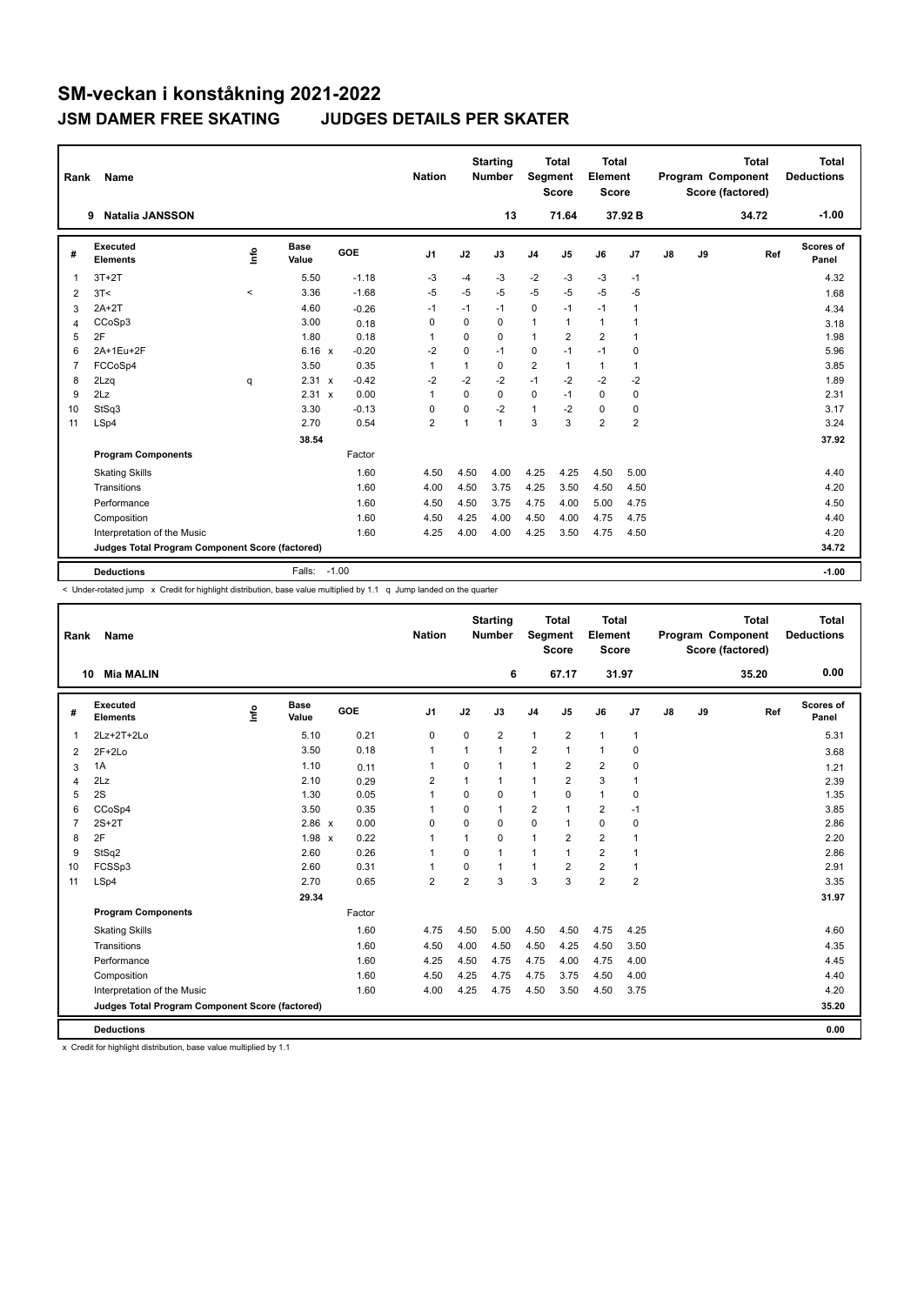| Rank           | Name                                            |         |                      |         | <b>Nation</b>  |             | <b>Starting</b><br><b>Number</b> | Segment        | Total<br><b>Score</b> | <b>Total</b><br>Element<br><b>Score</b> |                |    |    | <b>Total</b><br>Program Component<br>Score (factored) | Total<br><b>Deductions</b> |
|----------------|-------------------------------------------------|---------|----------------------|---------|----------------|-------------|----------------------------------|----------------|-----------------------|-----------------------------------------|----------------|----|----|-------------------------------------------------------|----------------------------|
|                | <b>Natalia JANSSON</b><br>9                     |         |                      |         |                |             | 13                               |                | 71.64                 |                                         | 37.92 B        |    |    | 34.72                                                 | $-1.00$                    |
| #              | Executed<br><b>Elements</b>                     | Info    | <b>Base</b><br>Value | GOE     | J <sub>1</sub> | J2          | J3                               | J <sub>4</sub> | J5                    | J6                                      | J7             | J8 | J9 | Ref                                                   | Scores of<br>Panel         |
| 1              | $3T+2T$                                         |         | 5.50                 | $-1.18$ | -3             | $-4$        | -3                               | $-2$           | $-3$                  | $-3$                                    | $-1$           |    |    |                                                       | 4.32                       |
| 2              | 3T<                                             | $\prec$ | 3.36                 | $-1.68$ | -5             | $-5$        | $-5$                             | $-5$           | $-5$                  | $-5$                                    | $-5$           |    |    |                                                       | 1.68                       |
| 3              | $2A+2T$                                         |         | 4.60                 | $-0.26$ | $-1$           | $-1$        | $-1$                             | 0              | $-1$                  | $-1$                                    | $\overline{1}$ |    |    |                                                       | 4.34                       |
| 4              | CCoSp3                                          |         | 3.00                 | 0.18    | 0              | $\Omega$    | $\Omega$                         | $\mathbf{1}$   | 1                     | $\mathbf{1}$                            | 1              |    |    |                                                       | 3.18                       |
| 5              | 2F                                              |         | 1.80                 | 0.18    | 1              | 0           | $\Omega$                         | 1              | 2                     | $\overline{2}$                          | $\overline{1}$ |    |    |                                                       | 1.98                       |
| 6              | 2A+1Eu+2F                                       |         | $6.16 \times$        | $-0.20$ | $-2$           | $\mathbf 0$ | $-1$                             | 0              | $-1$                  | $-1$                                    | 0              |    |    |                                                       | 5.96                       |
| $\overline{7}$ | FCCoSp4                                         |         | 3.50                 | 0.35    | $\mathbf{1}$   | 1           | 0                                | $\overline{2}$ | 1                     | $\mathbf{1}$                            | $\overline{1}$ |    |    |                                                       | 3.85                       |
| 8              | 2Lzq                                            | q       | 2.31<br>$\mathsf{x}$ | $-0.42$ | $-2$           | $-2$        | $-2$                             | $-1$           | $-2$                  | $-2$                                    | $-2$           |    |    |                                                       | 1.89                       |
| 9              | 2Lz                                             |         | 2.31 x               | 0.00    | 1              | $\Omega$    | $\Omega$                         | $\mathbf 0$    | $-1$                  | $\Omega$                                | 0              |    |    |                                                       | 2.31                       |
| 10             | StSq3                                           |         | 3.30                 | $-0.13$ | 0              | 0           | $-2$                             | 1              | $-2$                  | $\mathbf 0$                             | 0              |    |    |                                                       | 3.17                       |
| 11             | LSp4                                            |         | 2.70                 | 0.54    | $\overline{2}$ | 1           | $\mathbf{1}$                     | 3              | 3                     | $\overline{2}$                          | $\overline{2}$ |    |    |                                                       | 3.24                       |
|                |                                                 |         | 38.54                |         |                |             |                                  |                |                       |                                         |                |    |    |                                                       | 37.92                      |
|                | <b>Program Components</b>                       |         |                      | Factor  |                |             |                                  |                |                       |                                         |                |    |    |                                                       |                            |
|                | <b>Skating Skills</b>                           |         |                      | 1.60    | 4.50           | 4.50        | 4.00                             | 4.25           | 4.25                  | 4.50                                    | 5.00           |    |    |                                                       | 4.40                       |
|                | Transitions                                     |         |                      | 1.60    | 4.00           | 4.50        | 3.75                             | 4.25           | 3.50                  | 4.50                                    | 4.50           |    |    |                                                       | 4.20                       |
|                | Performance                                     |         |                      | 1.60    | 4.50           | 4.50        | 3.75                             | 4.75           | 4.00                  | 5.00                                    | 4.75           |    |    |                                                       | 4.50                       |
|                | Composition                                     |         |                      | 1.60    | 4.50           | 4.25        | 4.00                             | 4.50           | 4.00                  | 4.75                                    | 4.75           |    |    |                                                       | 4.40                       |
|                | Interpretation of the Music                     |         |                      | 1.60    | 4.25           | 4.00        | 4.00                             | 4.25           | 3.50                  | 4.75                                    | 4.50           |    |    |                                                       | 4.20                       |
|                | Judges Total Program Component Score (factored) |         |                      |         |                |             |                                  |                |                       |                                         |                |    |    |                                                       | 34.72                      |
|                | <b>Deductions</b>                               |         | Falls:               | $-1.00$ |                |             |                                  |                |                       |                                         |                |    |    |                                                       | $-1.00$                    |

< Under-rotated jump x Credit for highlight distribution, base value multiplied by 1.1 q Jump landed on the quarter

| Rank           | Name                                            |    |                      |        | <b>Nation</b>  |              | <b>Starting</b><br>Number |                | <b>Total</b><br>Segment<br><b>Score</b> | Total<br>Element<br><b>Score</b> |                |               |    | <b>Total</b><br>Program Component<br>Score (factored) | Total<br><b>Deductions</b> |
|----------------|-------------------------------------------------|----|----------------------|--------|----------------|--------------|---------------------------|----------------|-----------------------------------------|----------------------------------|----------------|---------------|----|-------------------------------------------------------|----------------------------|
|                | <b>Mia MALIN</b><br>10                          |    |                      |        |                |              | 6                         |                | 67.17                                   |                                  | 31.97          |               |    | 35.20                                                 | 0.00                       |
| #              | <b>Executed</b><br><b>Elements</b>              | ۴٥ | <b>Base</b><br>Value | GOE    | J <sub>1</sub> | J2           | J3                        | J <sub>4</sub> | J <sub>5</sub>                          | J6                               | J <sub>7</sub> | $\mathsf{J}8$ | J9 | Ref                                                   | Scores of<br>Panel         |
| 1              | 2Lz+2T+2Lo                                      |    | 5.10                 | 0.21   | $\mathbf 0$    | $\mathbf 0$  | $\overline{2}$            | $\mathbf{1}$   | $\overline{2}$                          | $\mathbf{1}$                     | $\overline{1}$ |               |    |                                                       | 5.31                       |
| $\overline{2}$ | $2F+2Lo$                                        |    | 3.50                 | 0.18   | 1              | $\mathbf{1}$ | $\mathbf{1}$              | $\overline{2}$ | $\mathbf{1}$                            | $\mathbf{1}$                     | $\mathbf 0$    |               |    |                                                       | 3.68                       |
| 3              | 1A                                              |    | 1.10                 | 0.11   | $\overline{1}$ | 0            | $\mathbf{1}$              | $\mathbf{1}$   | $\overline{2}$                          | $\overline{2}$                   | 0              |               |    |                                                       | 1.21                       |
| 4              | 2Lz                                             |    | 2.10                 | 0.29   | $\overline{2}$ | 1            | $\mathbf{1}$              | 1              | $\overline{2}$                          | 3                                | $\overline{1}$ |               |    |                                                       | 2.39                       |
| 5              | 2S                                              |    | 1.30                 | 0.05   | 1              | $\mathbf 0$  | $\mathbf 0$               | $\mathbf{1}$   | $\mathbf 0$                             | $\mathbf{1}$                     | $\mathbf 0$    |               |    |                                                       | 1.35                       |
| 6              | CCoSp4                                          |    | 3.50                 | 0.35   | 1              | $\Omega$     | $\mathbf{1}$              | $\overline{2}$ | $\mathbf{1}$                            | $\overline{2}$                   | $-1$           |               |    |                                                       | 3.85                       |
| $\overline{7}$ | $2S+2T$                                         |    | 2.86 x               | 0.00   | 0              | $\mathbf 0$  | 0                         | $\mathbf 0$    | $\mathbf{1}$                            | 0                                | 0              |               |    |                                                       | 2.86                       |
| 8              | 2F                                              |    | $1.98 \times$        | 0.22   | 1              | 1            | $\Omega$                  | $\mathbf{1}$   | $\overline{2}$                          | $\overline{2}$                   | $\mathbf{1}$   |               |    |                                                       | 2.20                       |
| 9              | StSq2                                           |    | 2.60                 | 0.26   | 1              | $\Omega$     | $\mathbf{1}$              | 1              | 1                                       | $\overline{2}$                   | $\overline{1}$ |               |    |                                                       | 2.86                       |
| 10             | FCSSp3                                          |    | 2.60                 | 0.31   | 1              | $\mathbf 0$  | $\mathbf{1}$              | $\mathbf{1}$   | $\overline{2}$                          | $\overline{2}$                   | $\overline{1}$ |               |    |                                                       | 2.91                       |
| 11             | LSp4                                            |    | 2.70                 | 0.65   | $\overline{2}$ | 2            | 3                         | 3              | 3                                       | $\overline{2}$                   | $\overline{2}$ |               |    |                                                       | 3.35                       |
|                |                                                 |    | 29.34                |        |                |              |                           |                |                                         |                                  |                |               |    |                                                       | 31.97                      |
|                | <b>Program Components</b>                       |    |                      | Factor |                |              |                           |                |                                         |                                  |                |               |    |                                                       |                            |
|                | <b>Skating Skills</b>                           |    |                      | 1.60   | 4.75           | 4.50         | 5.00                      | 4.50           | 4.50                                    | 4.75                             | 4.25           |               |    |                                                       | 4.60                       |
|                | Transitions                                     |    |                      | 1.60   | 4.50           | 4.00         | 4.50                      | 4.50           | 4.25                                    | 4.50                             | 3.50           |               |    |                                                       | 4.35                       |
|                | Performance                                     |    |                      | 1.60   | 4.25           | 4.50         | 4.75                      | 4.75           | 4.00                                    | 4.75                             | 4.00           |               |    |                                                       | 4.45                       |
|                | Composition                                     |    |                      | 1.60   | 4.50           | 4.25         | 4.75                      | 4.75           | 3.75                                    | 4.50                             | 4.00           |               |    |                                                       | 4.40                       |
|                | Interpretation of the Music                     |    |                      | 1.60   | 4.00           | 4.25         | 4.75                      | 4.50           | 3.50                                    | 4.50                             | 3.75           |               |    |                                                       | 4.20                       |
|                | Judges Total Program Component Score (factored) |    |                      |        |                |              |                           |                |                                         |                                  |                |               |    |                                                       | 35.20                      |
|                | <b>Deductions</b>                               |    |                      |        |                |              |                           |                |                                         |                                  |                |               |    |                                                       | 0.00                       |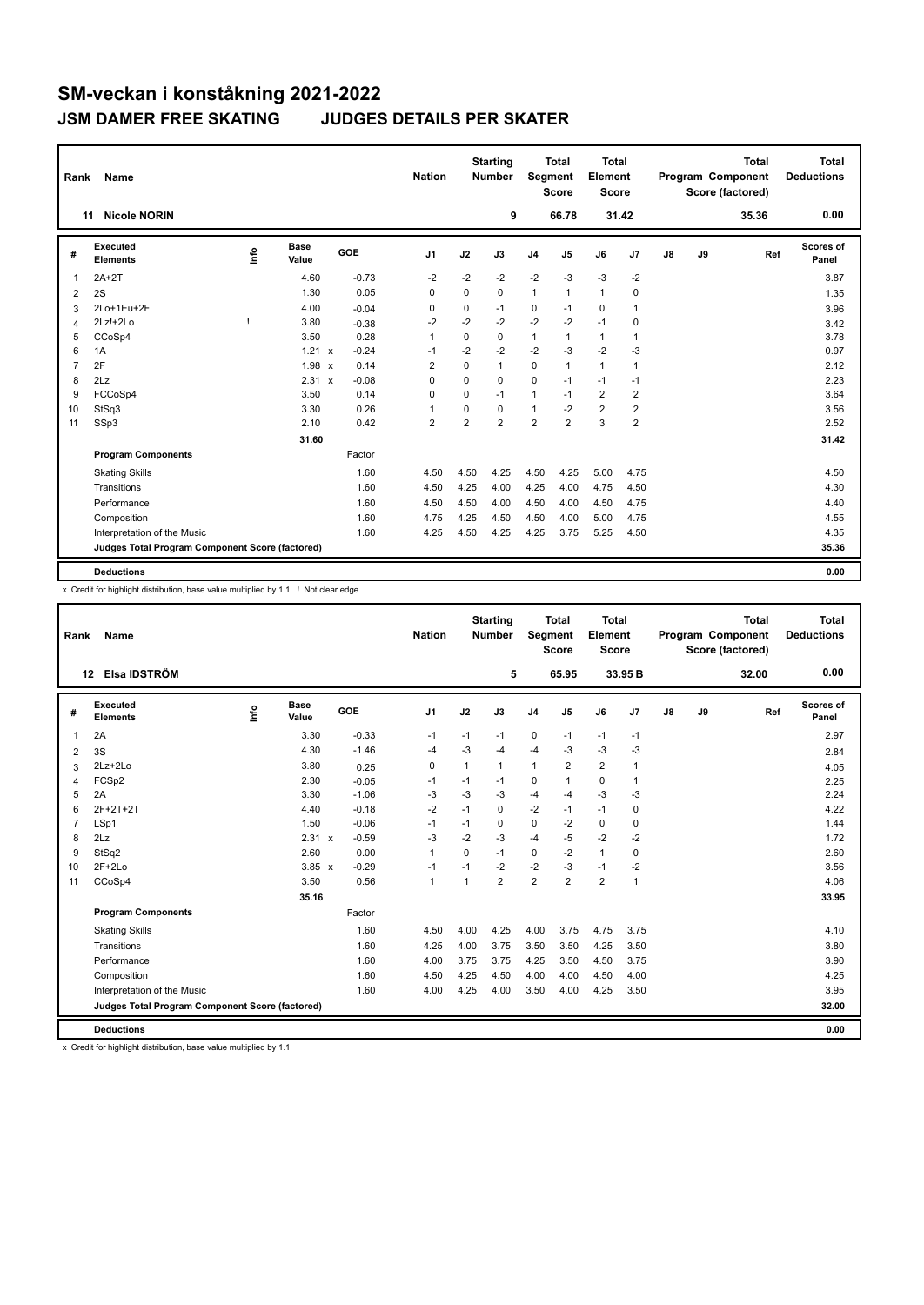| Rank           | Name                                            |      |                      |                                      | <b>Nation</b>  |                | <b>Starting</b><br><b>Number</b> | Segment        | <b>Total</b><br><b>Score</b> | <b>Total</b><br>Element<br><b>Score</b> |                |    |    | <b>Total</b><br>Program Component<br>Score (factored) | <b>Total</b><br><b>Deductions</b> |
|----------------|-------------------------------------------------|------|----------------------|--------------------------------------|----------------|----------------|----------------------------------|----------------|------------------------------|-----------------------------------------|----------------|----|----|-------------------------------------------------------|-----------------------------------|
|                | <b>Nicole NORIN</b><br>11                       |      |                      |                                      |                |                | 9                                |                | 66.78                        |                                         | 31.42          |    |    | 35.36                                                 | 0.00                              |
| #              | <b>Executed</b><br><b>Elements</b>              | lnfo | <b>Base</b><br>Value | GOE                                  | J <sub>1</sub> | J2             | J3                               | J <sub>4</sub> | J <sub>5</sub>               | J6                                      | J <sub>7</sub> | J8 | J9 | Ref                                                   | Scores of<br>Panel                |
| 1              | $2A+2T$                                         |      | 4.60                 | $-0.73$                              | $-2$           | $-2$           | $-2$                             | $-2$           | $-3$                         | $-3$                                    | $-2$           |    |    |                                                       | 3.87                              |
| 2              | 2S                                              |      | 1.30                 | 0.05                                 | 0              | 0              | 0                                | 1              | $\mathbf{1}$                 | $\mathbf{1}$                            | 0              |    |    |                                                       | 1.35                              |
| 3              | 2Lo+1Eu+2F                                      |      | 4.00                 | $-0.04$                              | 0              | 0              | $-1$                             | 0              | $-1$                         | 0                                       | $\mathbf{1}$   |    |    |                                                       | 3.96                              |
| 4              | $2Lz!+2Lo$                                      |      | 3.80                 | $-0.38$                              | $-2$           | $-2$           | $-2$                             | $-2$           | $-2$                         | $-1$                                    | $\mathbf 0$    |    |    |                                                       | 3.42                              |
| 5              | CCoSp4                                          |      | 3.50                 | 0.28                                 | $\mathbf{1}$   | $\Omega$       | $\Omega$                         | 1              | $\mathbf{1}$                 | $\mathbf{1}$                            | $\mathbf{1}$   |    |    |                                                       | 3.78                              |
| 6              | 1A                                              |      | 1.21                 | $-0.24$<br>$\boldsymbol{\mathsf{x}}$ | $-1$           | $-2$           | $-2$                             | $-2$           | $-3$                         | $-2$                                    | $-3$           |    |    |                                                       | 0.97                              |
| $\overline{7}$ | 2F                                              |      | $1.98 \times$        | 0.14                                 | $\overline{2}$ | $\Omega$       | 1                                | 0              | $\mathbf{1}$                 | $\mathbf{1}$                            | $\mathbf{1}$   |    |    |                                                       | 2.12                              |
| 8              | 2Lz                                             |      | $2.31 \times$        | $-0.08$                              | $\Omega$       | $\mathbf 0$    | $\mathbf 0$                      | $\mathbf 0$    | $-1$                         | $-1$                                    | $-1$           |    |    |                                                       | 2.23                              |
| 9              | FCCoSp4                                         |      | 3.50                 | 0.14                                 | $\Omega$       | $\Omega$       | $-1$                             | 1              | $-1$                         | $\overline{2}$                          | $\overline{2}$ |    |    |                                                       | 3.64                              |
| 10             | StSq3                                           |      | 3.30                 | 0.26                                 | 1              | $\Omega$       | 0                                | 1              | $-2$                         | $\overline{2}$                          | $\overline{2}$ |    |    |                                                       | 3.56                              |
| 11             | SSp3                                            |      | 2.10                 | 0.42                                 | $\overline{2}$ | $\overline{2}$ | $\overline{2}$                   | $\overline{2}$ | $\overline{2}$               | 3                                       | $\overline{2}$ |    |    |                                                       | 2.52                              |
|                |                                                 |      | 31.60                |                                      |                |                |                                  |                |                              |                                         |                |    |    |                                                       | 31.42                             |
|                | <b>Program Components</b>                       |      |                      | Factor                               |                |                |                                  |                |                              |                                         |                |    |    |                                                       |                                   |
|                | <b>Skating Skills</b>                           |      |                      | 1.60                                 | 4.50           | 4.50           | 4.25                             | 4.50           | 4.25                         | 5.00                                    | 4.75           |    |    |                                                       | 4.50                              |
|                | Transitions                                     |      |                      | 1.60                                 | 4.50           | 4.25           | 4.00                             | 4.25           | 4.00                         | 4.75                                    | 4.50           |    |    |                                                       | 4.30                              |
|                | Performance                                     |      |                      | 1.60                                 | 4.50           | 4.50           | 4.00                             | 4.50           | 4.00                         | 4.50                                    | 4.75           |    |    |                                                       | 4.40                              |
|                | Composition                                     |      |                      | 1.60                                 | 4.75           | 4.25           | 4.50                             | 4.50           | 4.00                         | 5.00                                    | 4.75           |    |    |                                                       | 4.55                              |
|                | Interpretation of the Music                     |      |                      | 1.60                                 | 4.25           | 4.50           | 4.25                             | 4.25           | 3.75                         | 5.25                                    | 4.50           |    |    |                                                       | 4.35                              |
|                | Judges Total Program Component Score (factored) |      |                      |                                      |                |                |                                  |                |                              |                                         |                |    |    |                                                       | 35.36                             |
|                | <b>Deductions</b>                               |      |                      |                                      |                |                |                                  |                |                              |                                         |                |    |    |                                                       | 0.00                              |

x Credit for highlight distribution, base value multiplied by 1.1 ! Not clear edge

| Rank           | <b>Name</b>                                     |      |                      |         | <b>Nation</b>  |                | <b>Starting</b><br><b>Number</b> | Segment        | Total<br><b>Score</b> | Total<br>Element<br><b>Score</b> |              |    |    | <b>Total</b><br>Program Component<br>Score (factored) | <b>Total</b><br><b>Deductions</b> |
|----------------|-------------------------------------------------|------|----------------------|---------|----------------|----------------|----------------------------------|----------------|-----------------------|----------------------------------|--------------|----|----|-------------------------------------------------------|-----------------------------------|
|                | Elsa IDSTRÖM<br>12 <sup>2</sup>                 |      |                      |         |                |                | 5                                |                | 65.95                 |                                  | 33.95 B      |    |    | 32.00                                                 | 0.00                              |
| #              | Executed<br><b>Elements</b>                     | info | <b>Base</b><br>Value | GOE     | J <sub>1</sub> | J2             | J3                               | J <sub>4</sub> | J5                    | J6                               | J7           | J8 | J9 | Ref                                                   | Scores of<br>Panel                |
| 1              | 2A                                              |      | 3.30                 | $-0.33$ | $-1$           | $-1$           | $-1$                             | 0              | $-1$                  | $-1$                             | $-1$         |    |    |                                                       | 2.97                              |
| 2              | 3S                                              |      | 4.30                 | $-1.46$ | $-4$           | $-3$           | $-4$                             | $-4$           | $-3$                  | -3                               | $-3$         |    |    |                                                       | 2.84                              |
| 3              | $2Lz + 2Lo$                                     |      | 3.80                 | 0.25    | $\mathbf 0$    | $\mathbf{1}$   | $\mathbf{1}$                     | $\mathbf{1}$   | $\overline{2}$        | $\overline{2}$                   | $\mathbf{1}$ |    |    |                                                       | 4.05                              |
| 4              | FCSp2                                           |      | 2.30                 | $-0.05$ | $-1$           | $-1$           | $-1$                             | 0              | 1                     | 0                                | 1            |    |    |                                                       | 2.25                              |
| 5              | 2A                                              |      | 3.30                 | $-1.06$ | $-3$           | $-3$           | $-3$                             | $-4$           | $-4$                  | $-3$                             | -3           |    |    |                                                       | 2.24                              |
| 6              | 2F+2T+2T                                        |      | 4.40                 | $-0.18$ | $-2$           | $-1$           | 0                                | $-2$           | $-1$                  | $-1$                             | 0            |    |    |                                                       | 4.22                              |
| $\overline{7}$ | LSp1                                            |      | 1.50                 | $-0.06$ | $-1$           | $-1$           | 0                                | 0              | $-2$                  | 0                                | 0            |    |    |                                                       | 1.44                              |
| 8              | 2Lz                                             |      | 2.31 x               | $-0.59$ | -3             | $-2$           | -3                               | $-4$           | $-5$                  | $-2$                             | $-2$         |    |    |                                                       | 1.72                              |
| 9              | StSq2                                           |      | 2.60                 | 0.00    | 1              | $\Omega$       | $-1$                             | 0              | $-2$                  | $\mathbf{1}$                     | 0            |    |    |                                                       | 2.60                              |
| 10             | $2F+2Lo$                                        |      | $3.85 \times$        | $-0.29$ | $-1$           | $-1$           | $-2$                             | $-2$           | $-3$                  | $-1$                             | $-2$         |    |    |                                                       | 3.56                              |
| 11             | CCoSp4                                          |      | 3.50                 | 0.56    | 1              | $\overline{1}$ | $\overline{2}$                   | $\overline{2}$ | $\overline{2}$        | $\overline{2}$                   | $\mathbf{1}$ |    |    |                                                       | 4.06                              |
|                |                                                 |      | 35.16                |         |                |                |                                  |                |                       |                                  |              |    |    |                                                       | 33.95                             |
|                | <b>Program Components</b>                       |      |                      | Factor  |                |                |                                  |                |                       |                                  |              |    |    |                                                       |                                   |
|                | <b>Skating Skills</b>                           |      |                      | 1.60    | 4.50           | 4.00           | 4.25                             | 4.00           | 3.75                  | 4.75                             | 3.75         |    |    |                                                       | 4.10                              |
|                | Transitions                                     |      |                      | 1.60    | 4.25           | 4.00           | 3.75                             | 3.50           | 3.50                  | 4.25                             | 3.50         |    |    |                                                       | 3.80                              |
|                | Performance                                     |      |                      | 1.60    | 4.00           | 3.75           | 3.75                             | 4.25           | 3.50                  | 4.50                             | 3.75         |    |    |                                                       | 3.90                              |
|                | Composition                                     |      |                      | 1.60    | 4.50           | 4.25           | 4.50                             | 4.00           | 4.00                  | 4.50                             | 4.00         |    |    |                                                       | 4.25                              |
|                | Interpretation of the Music                     |      |                      | 1.60    | 4.00           | 4.25           | 4.00                             | 3.50           | 4.00                  | 4.25                             | 3.50         |    |    |                                                       | 3.95                              |
|                | Judges Total Program Component Score (factored) |      |                      |         |                |                |                                  |                |                       |                                  |              |    |    |                                                       | 32.00                             |
|                | <b>Deductions</b>                               |      |                      |         |                |                |                                  |                |                       |                                  |              |    |    |                                                       | 0.00                              |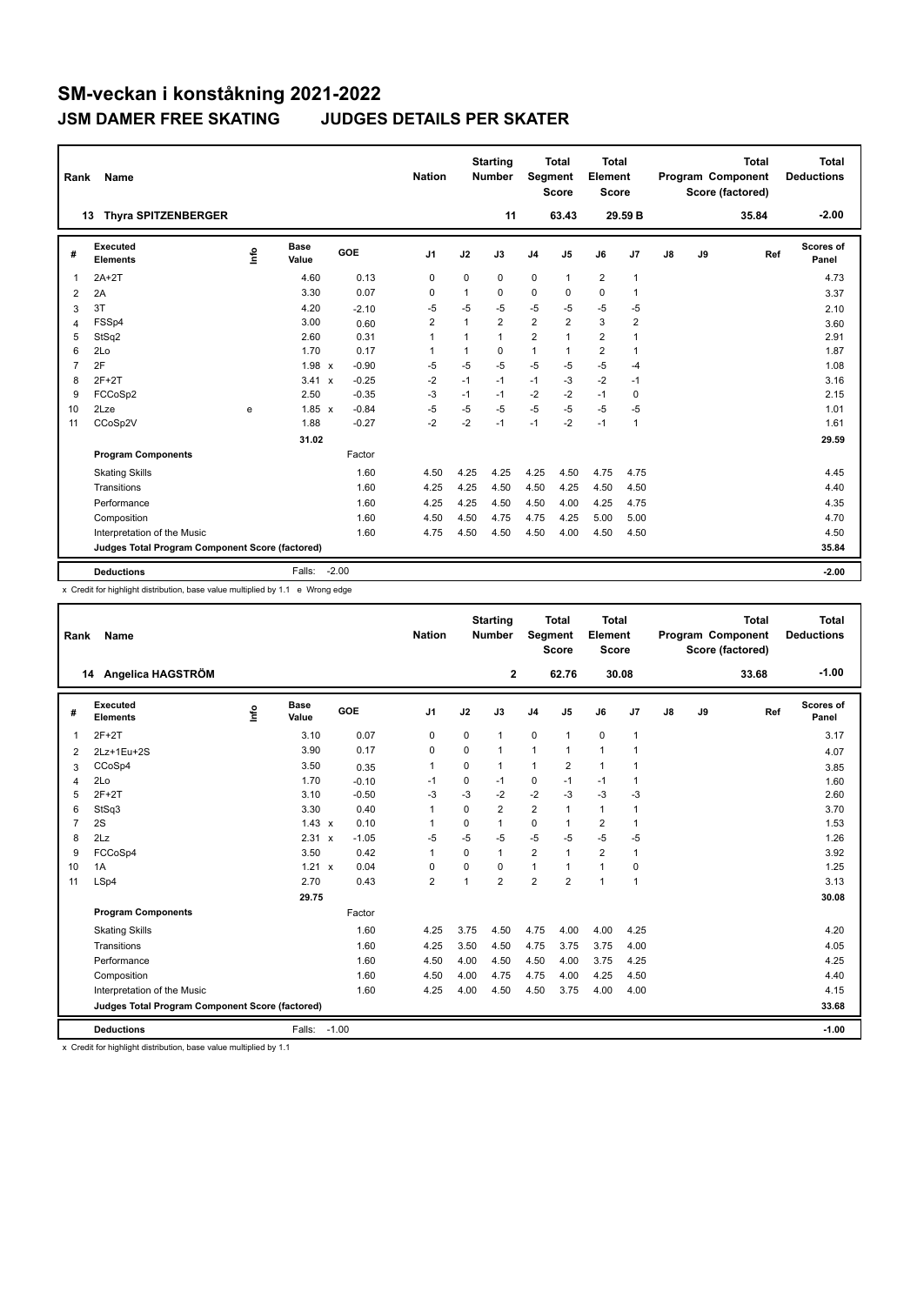| Rank           | Name                                            |      |                      |         | <b>Nation</b>  |              | <b>Starting</b><br><b>Number</b> | Segment        | <b>Total</b><br><b>Score</b> | Total<br>Element<br>Score |                         |               |    | <b>Total</b><br>Program Component<br>Score (factored) | Total<br><b>Deductions</b> |
|----------------|-------------------------------------------------|------|----------------------|---------|----------------|--------------|----------------------------------|----------------|------------------------------|---------------------------|-------------------------|---------------|----|-------------------------------------------------------|----------------------------|
|                | <b>Thyra SPITZENBERGER</b><br>13                |      |                      |         |                |              | 11                               |                | 63.43                        |                           | 29.59 B                 |               |    | 35.84                                                 | $-2.00$                    |
| #              | Executed<br><b>Elements</b>                     | ١rfo | <b>Base</b><br>Value | GOE     | J <sub>1</sub> | J2           | J3                               | J <sub>4</sub> | J5                           | J6                        | J7                      | $\mathsf{J}8$ | J9 | Ref                                                   | Scores of<br>Panel         |
| 1              | $2A+2T$                                         |      | 4.60                 | 0.13    | 0              | 0            | 0                                | 0              | $\mathbf{1}$                 | $\overline{2}$            | $\overline{1}$          |               |    |                                                       | 4.73                       |
| $\overline{2}$ | 2A                                              |      | 3.30                 | 0.07    | $\Omega$       | 1            | 0                                | 0              | $\Omega$                     | $\Omega$                  | 1                       |               |    |                                                       | 3.37                       |
| 3              | 3T                                              |      | 4.20                 | $-2.10$ | $-5$           | $-5$         | $-5$                             | $-5$           | $-5$                         | $-5$                      | $-5$                    |               |    |                                                       | 2.10                       |
| 4              | FSSp4                                           |      | 3.00                 | 0.60    | $\overline{2}$ | $\mathbf{1}$ | $\overline{2}$                   | $\overline{2}$ | $\overline{2}$               | 3                         | $\overline{\mathbf{c}}$ |               |    |                                                       | 3.60                       |
| 5              | StSq2                                           |      | 2.60                 | 0.31    | $\overline{1}$ | $\mathbf{1}$ | $\mathbf{1}$                     | 2              | $\mathbf{1}$                 | $\overline{2}$            | 1                       |               |    |                                                       | 2.91                       |
| 6              | 2Lo                                             |      | 1.70                 | 0.17    | 1              | 1            | 0                                | $\mathbf{1}$   | 1                            | $\overline{2}$            | $\mathbf{1}$            |               |    |                                                       | 1.87                       |
| 7              | 2F                                              |      | $1.98 \times$        | $-0.90$ | $-5$           | $-5$         | $-5$                             | $-5$           | $-5$                         | $-5$                      | $-4$                    |               |    |                                                       | 1.08                       |
| 8              | $2F+2T$                                         |      | $3.41 \times$        | $-0.25$ | $-2$           | $-1$         | $-1$                             | $-1$           | $-3$                         | $-2$                      | $-1$                    |               |    |                                                       | 3.16                       |
| 9              | FCCoSp2                                         |      | 2.50                 | $-0.35$ | $-3$           | $-1$         | $-1$                             | $-2$           | $-2$                         | $-1$                      | 0                       |               |    |                                                       | 2.15                       |
| 10             | 2Lze                                            | e    | $1.85 \times$        | $-0.84$ | $-5$           | $-5$         | $-5$                             | $-5$           | $-5$                         | $-5$                      | $-5$                    |               |    |                                                       | 1.01                       |
| 11             | CCoSp2V                                         |      | 1.88                 | $-0.27$ | $-2$           | $-2$         | $-1$                             | $-1$           | $-2$                         | $-1$                      | $\overline{1}$          |               |    |                                                       | 1.61                       |
|                |                                                 |      | 31.02                |         |                |              |                                  |                |                              |                           |                         |               |    |                                                       | 29.59                      |
|                | <b>Program Components</b>                       |      |                      | Factor  |                |              |                                  |                |                              |                           |                         |               |    |                                                       |                            |
|                | <b>Skating Skills</b>                           |      |                      | 1.60    | 4.50           | 4.25         | 4.25                             | 4.25           | 4.50                         | 4.75                      | 4.75                    |               |    |                                                       | 4.45                       |
|                | Transitions                                     |      |                      | 1.60    | 4.25           | 4.25         | 4.50                             | 4.50           | 4.25                         | 4.50                      | 4.50                    |               |    |                                                       | 4.40                       |
|                | Performance                                     |      |                      | 1.60    | 4.25           | 4.25         | 4.50                             | 4.50           | 4.00                         | 4.25                      | 4.75                    |               |    |                                                       | 4.35                       |
|                | Composition                                     |      |                      | 1.60    | 4.50           | 4.50         | 4.75                             | 4.75           | 4.25                         | 5.00                      | 5.00                    |               |    |                                                       | 4.70                       |
|                | Interpretation of the Music                     |      |                      | 1.60    | 4.75           | 4.50         | 4.50                             | 4.50           | 4.00                         | 4.50                      | 4.50                    |               |    |                                                       | 4.50                       |
|                | Judges Total Program Component Score (factored) |      |                      |         |                |              |                                  |                |                              |                           |                         |               |    |                                                       | 35.84                      |
|                | <b>Deductions</b>                               |      | Falls:               | $-2.00$ |                |              |                                  |                |                              |                           |                         |               |    |                                                       | $-2.00$                    |

x Credit for highlight distribution, base value multiplied by 1.1 e Wrong edge

| Rank           | Name                                            |      |               |            | <b>Nation</b>  |             | <b>Starting</b><br><b>Number</b> | Segment        | <b>Total</b><br><b>Score</b> | <b>Total</b><br>Element<br><b>Score</b> |                |    |    | <b>Total</b><br>Program Component<br>Score (factored) | <b>Total</b><br><b>Deductions</b> |
|----------------|-------------------------------------------------|------|---------------|------------|----------------|-------------|----------------------------------|----------------|------------------------------|-----------------------------------------|----------------|----|----|-------------------------------------------------------|-----------------------------------|
|                | 14 Angelica HAGSTRÖM                            |      |               |            |                |             | $\mathbf{2}$                     |                | 62.76                        |                                         | 30.08          |    |    | 33.68                                                 | $-1.00$                           |
| #              | Executed<br><b>Elements</b>                     | ١rfo | Base<br>Value | <b>GOE</b> | J <sub>1</sub> | J2          | J3                               | J <sub>4</sub> | J5                           | J6                                      | J <sub>7</sub> | J8 | J9 | Ref                                                   | Scores of<br>Panel                |
| 1              | $2F+2T$                                         |      | 3.10          | 0.07       | 0              | $\Omega$    | $\mathbf{1}$                     | $\mathbf 0$    | $\mathbf{1}$                 | $\mathbf 0$                             | $\mathbf{1}$   |    |    |                                                       | 3.17                              |
| $\overline{2}$ | 2Lz+1Eu+2S                                      |      | 3.90          | 0.17       | $\mathbf 0$    | $\mathbf 0$ | $\mathbf{1}$                     | $\mathbf{1}$   | $\mathbf{1}$                 | $\mathbf{1}$                            | -1             |    |    |                                                       | 4.07                              |
| 3              | CCoSp4                                          |      | 3.50          | 0.35       | 1              | $\Omega$    | $\mathbf{1}$                     | 1              | 2                            | $\mathbf{1}$                            | 1              |    |    |                                                       | 3.85                              |
| 4              | 2Lo                                             |      | 1.70          | $-0.10$    | -1             | $\mathbf 0$ | $-1$                             | 0              | $-1$                         | $-1$                                    | $\overline{1}$ |    |    |                                                       | 1.60                              |
| 5              | $2F+2T$                                         |      | 3.10          | $-0.50$    | -3             | $-3$        | $-2$                             | $-2$           | $-3$                         | $-3$                                    | -3             |    |    |                                                       | 2.60                              |
| 6              | StSq3                                           |      | 3.30          | 0.40       | 1              | $\Omega$    | $\overline{2}$                   | $\overline{2}$ | 1                            | $\mathbf{1}$                            | $\overline{1}$ |    |    |                                                       | 3.70                              |
| $\overline{7}$ | 2S                                              |      | $1.43 \times$ | 0.10       | -1             | $\Omega$    | $\mathbf{1}$                     | $\Omega$       | 1                            | $\overline{2}$                          | 1              |    |    |                                                       | 1.53                              |
| 8              | 2Lz                                             |      | 2.31 x        | $-1.05$    | $-5$           | $-5$        | $-5$                             | $-5$           | $-5$                         | $-5$                                    | $-5$           |    |    |                                                       | 1.26                              |
| 9              | FCCoSp4                                         |      | 3.50          | 0.42       | 1              | $\Omega$    | $\mathbf{1}$                     | $\overline{2}$ | 1                            | $\overline{2}$                          | $\overline{1}$ |    |    |                                                       | 3.92                              |
| 10             | 1A                                              |      | 1.21 x        | 0.04       | 0              | 0           | $\Omega$                         | $\mathbf{1}$   | 1                            | $\mathbf{1}$                            | 0              |    |    |                                                       | 1.25                              |
| 11             | LSp4                                            |      | 2.70          | 0.43       | $\overline{2}$ | 1           | $\overline{2}$                   | $\overline{2}$ | $\overline{2}$               | $\mathbf{1}$                            | $\overline{1}$ |    |    |                                                       | 3.13                              |
|                |                                                 |      | 29.75         |            |                |             |                                  |                |                              |                                         |                |    |    |                                                       | 30.08                             |
|                | <b>Program Components</b>                       |      |               | Factor     |                |             |                                  |                |                              |                                         |                |    |    |                                                       |                                   |
|                | <b>Skating Skills</b>                           |      |               | 1.60       | 4.25           | 3.75        | 4.50                             | 4.75           | 4.00                         | 4.00                                    | 4.25           |    |    |                                                       | 4.20                              |
|                | Transitions                                     |      |               | 1.60       | 4.25           | 3.50        | 4.50                             | 4.75           | 3.75                         | 3.75                                    | 4.00           |    |    |                                                       | 4.05                              |
|                | Performance                                     |      |               | 1.60       | 4.50           | 4.00        | 4.50                             | 4.50           | 4.00                         | 3.75                                    | 4.25           |    |    |                                                       | 4.25                              |
|                | Composition                                     |      |               | 1.60       | 4.50           | 4.00        | 4.75                             | 4.75           | 4.00                         | 4.25                                    | 4.50           |    |    |                                                       | 4.40                              |
|                | Interpretation of the Music                     |      |               | 1.60       | 4.25           | 4.00        | 4.50                             | 4.50           | 3.75                         | 4.00                                    | 4.00           |    |    |                                                       | 4.15                              |
|                | Judges Total Program Component Score (factored) |      |               |            |                |             |                                  |                |                              |                                         |                |    |    |                                                       | 33.68                             |
|                | <b>Deductions</b>                               |      | Falls: -1.00  |            |                |             |                                  |                |                              |                                         |                |    |    |                                                       | $-1.00$                           |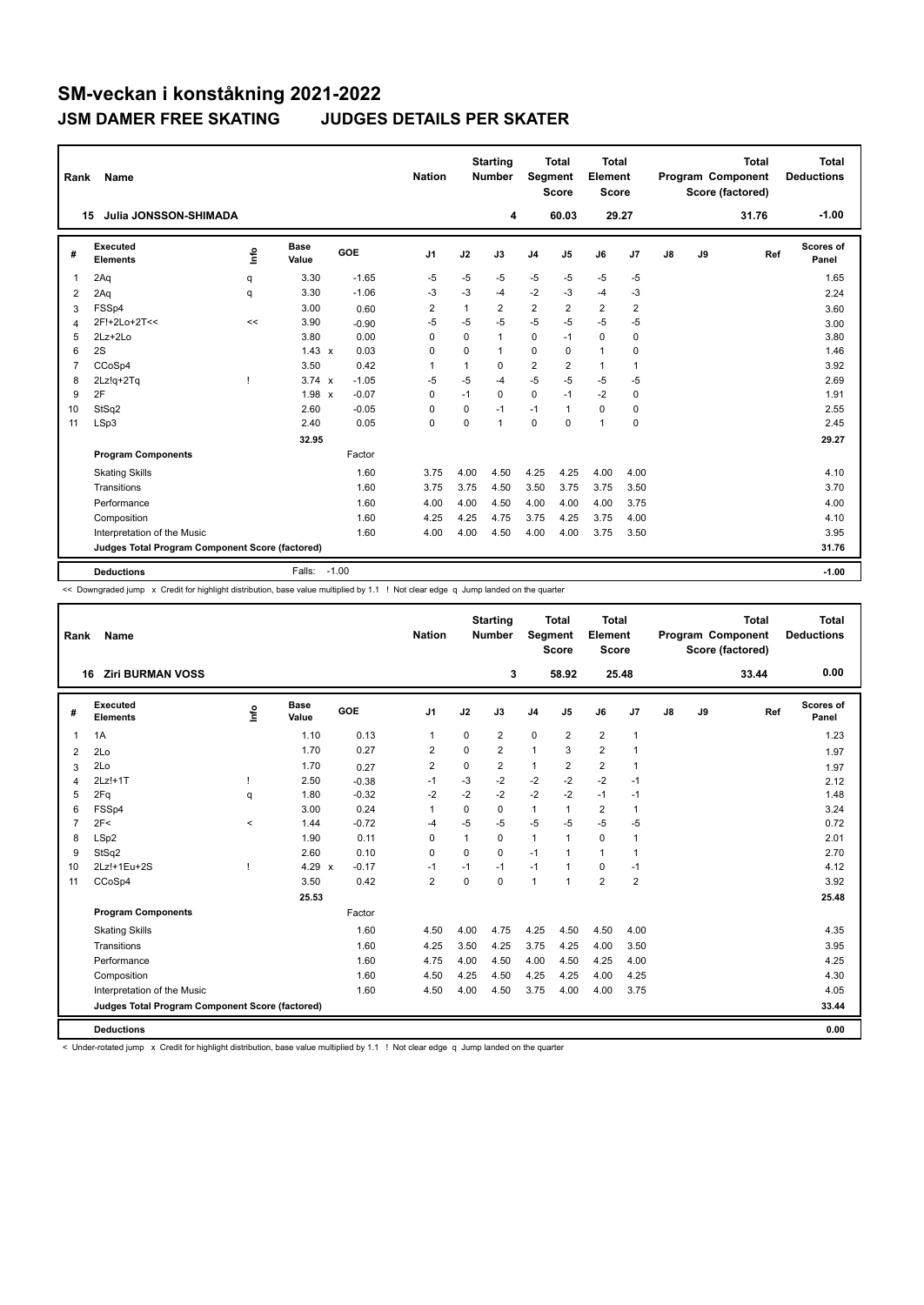| Rank           | Name                                            |      |                      |            | <b>Nation</b>  |          | <b>Starting</b><br><b>Number</b> | Segment        | <b>Total</b><br><b>Score</b> | <b>Total</b><br>Element<br><b>Score</b> |                |               |    | Total<br>Program Component<br>Score (factored) | Total<br><b>Deductions</b> |
|----------------|-------------------------------------------------|------|----------------------|------------|----------------|----------|----------------------------------|----------------|------------------------------|-----------------------------------------|----------------|---------------|----|------------------------------------------------|----------------------------|
|                | Julia JONSSON-SHIMADA<br>15                     |      |                      |            |                |          | 4                                |                | 60.03                        | 29.27                                   |                |               |    | 31.76                                          | $-1.00$                    |
| #              | Executed<br><b>Elements</b>                     | info | <b>Base</b><br>Value | <b>GOE</b> | J <sub>1</sub> | J2       | J3                               | J <sub>4</sub> | J <sub>5</sub>               | J6                                      | J <sub>7</sub> | $\mathsf{J}8$ | J9 | Ref                                            | Scores of<br>Panel         |
| $\mathbf{1}$   | 2Aq                                             | q    | 3.30                 | $-1.65$    | $-5$           | $-5$     | $-5$                             | $-5$           | $-5$                         | $-5$                                    | $-5$           |               |    |                                                | 1.65                       |
| 2              | 2Aq                                             | q    | 3.30                 | $-1.06$    | -3             | -3       | -4                               | $-2$           | $-3$                         | $-4$                                    | -3             |               |    |                                                | 2.24                       |
| 3              | FSSp4                                           |      | 3.00                 | 0.60       | 2              | 1        | 2                                | $\overline{2}$ | 2                            | $\overline{\mathbf{c}}$                 | 2              |               |    |                                                | 3.60                       |
| 4              | 2F!+2Lo+2T<<                                    | <<   | 3.90                 | $-0.90$    | $-5$           | $-5$     | $-5$                             | $-5$           | $-5$                         | $-5$                                    | $-5$           |               |    |                                                | 3.00                       |
| 5              | $2Lz + 2Lo$                                     |      | 3.80                 | 0.00       | 0              | 0        | 1                                | 0              | $-1$                         | 0                                       | $\mathbf 0$    |               |    |                                                | 3.80                       |
| 6              | 2S                                              |      | $1.43 \times$        | 0.03       | 0              | $\Omega$ | 1                                | 0              | $\Omega$                     | $\mathbf{1}$                            | 0              |               |    |                                                | 1.46                       |
| $\overline{7}$ | CCoSp4                                          |      | 3.50                 | 0.42       | $\mathbf{1}$   | 1        | 0                                | $\overline{2}$ | $\overline{2}$               | $\mathbf{1}$                            | $\mathbf{1}$   |               |    |                                                | 3.92                       |
| 8              | 2Lz!q+2Tq                                       |      | $3.74 \times$        | $-1.05$    | $-5$           | $-5$     | $-4$                             | $-5$           | $-5$                         | $-5$                                    | $-5$           |               |    |                                                | 2.69                       |
| 9              | 2F                                              |      | $1.98 \times$        | $-0.07$    | 0              | $-1$     | 0                                | $\mathbf 0$    | $-1$                         | $-2$                                    | $\mathbf 0$    |               |    |                                                | 1.91                       |
| 10             | StSq2                                           |      | 2.60                 | $-0.05$    | 0              | 0        | $-1$                             | $-1$           | 1                            | 0                                       | 0              |               |    |                                                | 2.55                       |
| 11             | LSp3                                            |      | 2.40                 | 0.05       | $\mathbf 0$    | $\Omega$ | $\mathbf{1}$                     | $\Omega$       | $\Omega$                     | $\mathbf{1}$                            | $\mathbf 0$    |               |    |                                                | 2.45                       |
|                |                                                 |      | 32.95                |            |                |          |                                  |                |                              |                                         |                |               |    |                                                | 29.27                      |
|                | <b>Program Components</b>                       |      |                      | Factor     |                |          |                                  |                |                              |                                         |                |               |    |                                                |                            |
|                | <b>Skating Skills</b>                           |      |                      | 1.60       | 3.75           | 4.00     | 4.50                             | 4.25           | 4.25                         | 4.00                                    | 4.00           |               |    |                                                | 4.10                       |
|                | Transitions                                     |      |                      | 1.60       | 3.75           | 3.75     | 4.50                             | 3.50           | 3.75                         | 3.75                                    | 3.50           |               |    |                                                | 3.70                       |
|                | Performance                                     |      |                      | 1.60       | 4.00           | 4.00     | 4.50                             | 4.00           | 4.00                         | 4.00                                    | 3.75           |               |    |                                                | 4.00                       |
|                | Composition                                     |      |                      | 1.60       | 4.25           | 4.25     | 4.75                             | 3.75           | 4.25                         | 3.75                                    | 4.00           |               |    |                                                | 4.10                       |
|                | Interpretation of the Music                     |      |                      | 1.60       | 4.00           | 4.00     | 4.50                             | 4.00           | 4.00                         | 3.75                                    | 3.50           |               |    |                                                | 3.95                       |
|                | Judges Total Program Component Score (factored) |      |                      |            |                |          |                                  |                |                              |                                         |                |               |    |                                                | 31.76                      |
|                | <b>Deductions</b>                               |      | Falls:               | $-1.00$    |                |          |                                  |                |                              |                                         |                |               |    |                                                | $-1.00$                    |

<< Downgraded jump x Credit for highlight distribution, base value multiplied by 1.1 ! Not clear edge q Jump landed on the quarter

| Rank           | Name                                            |          |                      |         | <b>Nation</b>  |             | <b>Starting</b><br><b>Number</b> | Segment        | <b>Total</b><br><b>Score</b> | <b>Total</b><br>Element<br>Score |                |    |    | <b>Total</b><br>Program Component<br>Score (factored) | <b>Total</b><br><b>Deductions</b> |
|----------------|-------------------------------------------------|----------|----------------------|---------|----------------|-------------|----------------------------------|----------------|------------------------------|----------------------------------|----------------|----|----|-------------------------------------------------------|-----------------------------------|
|                | <b>Ziri BURMAN VOSS</b><br>16                   |          |                      |         |                |             | 3                                |                | 58.92                        | 25.48                            |                |    |    | 33.44                                                 | 0.00                              |
| #              | <b>Executed</b><br><b>Elements</b>              | ١rfo     | <b>Base</b><br>Value | GOE     | J <sub>1</sub> | J2          | J3                               | J <sub>4</sub> | J <sub>5</sub>               | J6                               | J <sub>7</sub> | J8 | J9 | Ref                                                   | Scores of<br>Panel                |
| 1              | 1A                                              |          | 1.10                 | 0.13    | $\mathbf{1}$   | 0           | $\overline{2}$                   | 0              | $\overline{2}$               | $\overline{2}$                   | $\overline{1}$ |    |    |                                                       | 1.23                              |
| 2              | 2Lo                                             |          | 1.70                 | 0.27    | 2              | $\Omega$    | $\overline{2}$                   | $\mathbf{1}$   | 3                            | $\overline{2}$                   | 1              |    |    |                                                       | 1.97                              |
| 3              | 2Lo                                             |          | 1.70                 | 0.27    | $\overline{2}$ | 0           | $\overline{2}$                   | 1              | $\overline{\mathbf{c}}$      | $\overline{2}$                   | $\overline{1}$ |    |    |                                                       | 1.97                              |
| 4              | $2Lz!+1T$                                       |          | 2.50                 | $-0.38$ | $-1$           | $-3$        | $-2$                             | $-2$           | $-2$                         | $-2$                             | -1             |    |    |                                                       | 2.12                              |
| 5              | 2Fq                                             | a        | 1.80                 | $-0.32$ | $-2$           | $-2$        | $-2$                             | $-2$           | $-2$                         | $-1$                             | $-1$           |    |    |                                                       | 1.48                              |
| 6              | FSSp4                                           |          | 3.00                 | 0.24    | 1              | $\mathbf 0$ | $\Omega$                         | $\mathbf{1}$   | $\mathbf{1}$                 | $\overline{2}$                   | 1              |    |    |                                                       | 3.24                              |
| $\overline{7}$ | 2F<                                             | $\hat{}$ | 1.44                 | $-0.72$ | $-4$           | $-5$        | $-5$                             | $-5$           | $-5$                         | $-5$                             | $-5$           |    |    |                                                       | 0.72                              |
| 8              | LSp2                                            |          | 1.90                 | 0.11    | $\Omega$       | 1           | 0                                | 1              | $\overline{1}$               | $\mathbf 0$                      | $\overline{1}$ |    |    |                                                       | 2.01                              |
| 9              | StSq2                                           |          | 2.60                 | 0.10    | 0              | 0           | 0                                | $-1$           |                              | $\mathbf{1}$                     | 1              |    |    |                                                       | 2.70                              |
| 10             | 2Lz!+1Eu+2S                                     | -1       | 4.29 $\times$        | $-0.17$ | $-1$           | $-1$        | $-1$                             | $-1$           | $\overline{1}$               | $\Omega$                         | $-1$           |    |    |                                                       | 4.12                              |
| 11             | CCoSp4                                          |          | 3.50                 | 0.42    | $\overline{2}$ | $\mathbf 0$ | $\mathbf 0$                      | 1              | 1                            | $\overline{2}$                   | $\overline{2}$ |    |    |                                                       | 3.92                              |
|                |                                                 |          | 25.53                |         |                |             |                                  |                |                              |                                  |                |    |    |                                                       | 25.48                             |
|                | <b>Program Components</b>                       |          |                      | Factor  |                |             |                                  |                |                              |                                  |                |    |    |                                                       |                                   |
|                | <b>Skating Skills</b>                           |          |                      | 1.60    | 4.50           | 4.00        | 4.75                             | 4.25           | 4.50                         | 4.50                             | 4.00           |    |    |                                                       | 4.35                              |
|                | Transitions                                     |          |                      | 1.60    | 4.25           | 3.50        | 4.25                             | 3.75           | 4.25                         | 4.00                             | 3.50           |    |    |                                                       | 3.95                              |
|                | Performance                                     |          |                      | 1.60    | 4.75           | 4.00        | 4.50                             | 4.00           | 4.50                         | 4.25                             | 4.00           |    |    |                                                       | 4.25                              |
|                | Composition                                     |          |                      | 1.60    | 4.50           | 4.25        | 4.50                             | 4.25           | 4.25                         | 4.00                             | 4.25           |    |    |                                                       | 4.30                              |
|                | Interpretation of the Music                     |          |                      | 1.60    | 4.50           | 4.00        | 4.50                             | 3.75           | 4.00                         | 4.00                             | 3.75           |    |    |                                                       | 4.05                              |
|                | Judges Total Program Component Score (factored) |          |                      |         |                |             |                                  |                |                              |                                  |                |    |    |                                                       | 33.44                             |
|                | <b>Deductions</b>                               |          |                      |         |                |             |                                  |                |                              |                                  |                |    |    |                                                       | 0.00                              |

-<br>< Under-rotated jump x Credit for highlight distribution, base value multiplied by 1.1 ! Not clear edge q Jump landed on the quarter